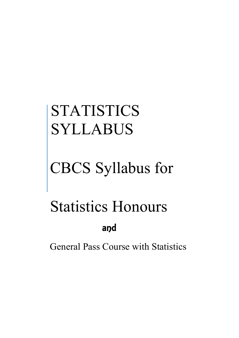# STATISTICS SYLLABUS

# CBCS Syllabus for

# Statistics Honours and

General Pass Course with Statistics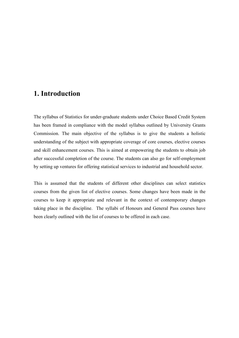# **1. Introduction**

The syllabus of Statistics for under-graduate students under Choice Based Credit System has been framed in compliance with the model syllabus outlined by University Grants Commission. The main objective of the syllabus is to give the students a holistic understanding of the subject with appropriate coverage of core courses, elective courses and skill enhancement courses. This is aimed at empowering the students to obtain job after successful completion of the course. The students can also go for self-employment by setting up ventures for offering statistical services to industrial and household sector.

This is assumed that the students of different other disciplines can select statistics courses from the given list of elective courses. Some changes have been made in the courses to keep it appropriate and relevant in the context of contemporary changes taking place in the discipline. The syllabi of Honours and General Pass courses have been clearly outlined with the list of courses to be offered in each case.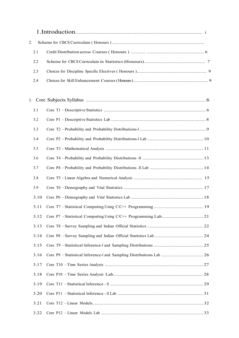| 2.   |  |
|------|--|
| 2.1  |  |
| 2.2  |  |
| 2.3  |  |
| 2.4  |  |
| 3.   |  |
| 3.1  |  |
| 3.2  |  |
| 3.3  |  |
| 3.4  |  |
| 3.5  |  |
| 3.6  |  |
| 3.7  |  |
| 3.8  |  |
| 3.9  |  |
| 3.10 |  |
|      |  |
| 3.12 |  |
| 3.13 |  |
| 3.14 |  |
| 3.15 |  |
| 3.16 |  |
| 3.17 |  |
| 3.18 |  |
| 3.19 |  |
| 3.20 |  |
| 3.21 |  |
| 3.22 |  |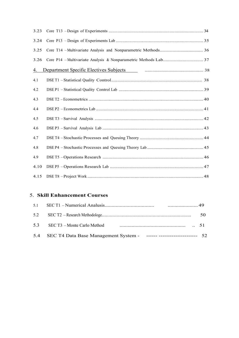| 3.23      |  |
|-----------|--|
| 3.24      |  |
| 3.25      |  |
| 3.26      |  |
| <u>4.</u> |  |
| 4.1       |  |
| 4.2       |  |
| 4.3       |  |
| 4.4       |  |
| 4.5       |  |
| 4.6       |  |
| 4.7       |  |
| 4.8       |  |
| 4.9       |  |
| 4.10      |  |
| 4.15      |  |

## 5. **Skill Enhancement Courses**

|                                                                           | 50 |
|---------------------------------------------------------------------------|----|
|                                                                           |    |
| 5.4 SEC T4 Data Base Management System - ------ ---------------------- 52 |    |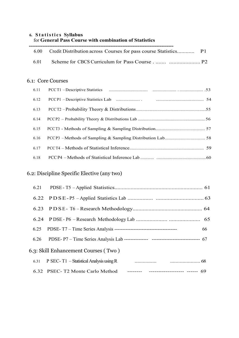### **6. S t a t i s t i c s Syllabus** for **General Pass Course with combination of Statistics**

| 6.00 | Credit Distribution across Courses for pass course Statistics P1 |  |
|------|------------------------------------------------------------------|--|
| 6.01 |                                                                  |  |
|      |                                                                  |  |
|      | 6.1: Core Courses                                                |  |
| 6.11 |                                                                  |  |
| 6.12 |                                                                  |  |
| 6.13 |                                                                  |  |
| 6.14 |                                                                  |  |
| 6.15 |                                                                  |  |
| 6.16 |                                                                  |  |
| 6.17 |                                                                  |  |
| 6.18 |                                                                  |  |
|      |                                                                  |  |

# 6.2: Discipline Specific Elective (any two)

| 6.23 |                                                                         |    |
|------|-------------------------------------------------------------------------|----|
|      |                                                                         |    |
| 6.25 |                                                                         | 66 |
| 6.26 |                                                                         |    |
|      | 6.3: Skill Enhancement Courses (Two)                                    |    |
|      |                                                                         |    |
|      | 6.32 PSEC-T2 Monte Carlo Method -------- -------------------- ------ 69 |    |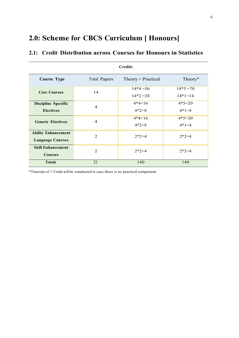# **2.0: Scheme for CBCS Curriculum [ Honours]**

| <b>Credits</b>             |                     |                    |           |
|----------------------------|---------------------|--------------------|-----------|
| <b>Course Type</b>         | <b>Total Papers</b> | Theory + Practical | Theory*   |
| <b>Core Courses</b>        | 14                  | $14*4=56$          | $14*5=70$ |
|                            |                     | $14*2=28$          | $14*1=14$ |
| <b>Discipline Specific</b> | $\overline{4}$      | $4*4=16$           | $4*5=20$  |
| <b>Electives</b>           |                     | $4*2=8$            | $4*1=4$   |
| <b>Generic Electives</b>   | $\overline{4}$      | $4*4=16$           | $4*5=20$  |
|                            |                     | $4*2=8$            | $4*1=4$   |
| <b>Ability Enhancement</b> | 2                   | $2*2=4$            | $2*2=4$   |
| <b>Language Courses</b>    |                     |                    |           |
| <b>Skill Enhancement</b>   | 2                   | $2*2=4$            | $2*2=4$   |
| <b>Courses</b>             |                     |                    |           |
| <b>Totals</b>              | 22                  | 140                | 140       |

# **2.1: Credit Distribution across Courses for Honours in Statistics**

\*Tutorials of 1 Credit will be conducted in case there is no practical component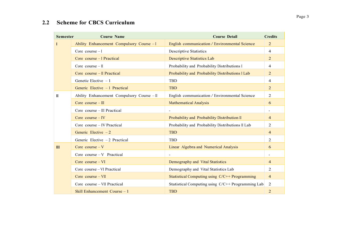# **2.2 Scheme for CBCS Curriculum**

| <b>Semester</b> | <b>Course Name</b>                         | <b>Course Detail</b>                              | <b>Credits</b> |
|-----------------|--------------------------------------------|---------------------------------------------------|----------------|
|                 | Ability Enhancement Compulsory Course - I  | English communication / Environmental Science     | $\overline{2}$ |
|                 | Core course $-I$                           | <b>Descriptive Statistics</b>                     | $\overline{4}$ |
|                 | Core course – I Practical                  | <b>Descriptive Statistics Lab</b>                 | $\overline{2}$ |
|                 | Core course $-$ II                         | Probability and Probability Distributions I       | $\overline{4}$ |
|                 | Core course - Il Practical                 | Probability and Probability Distributions I Lab   | $\overline{2}$ |
|                 | Genetic Elective $-1$                      | <b>TBD</b>                                        | $\overline{4}$ |
|                 | Generic Elective - 1 Practical             | <b>TBD</b>                                        | 2              |
| $\mathbf{I}$    | Ability Enhancement Compulsory Course - II | English communication / Environmental Science     | 2              |
|                 | Core course $-III$                         | <b>Mathematical Analysis</b>                      | 6              |
|                 | Core course - III Practical                |                                                   |                |
|                 | Core course $-IV$                          | Probability and Probability Distribution II       | $\overline{4}$ |
|                 | Core course - IV Practical                 | Probability and Probability Distributions II Lab  | $\overline{2}$ |
|                 | Generic Elective $-2$                      | <b>TBD</b>                                        | $\overline{4}$ |
|                 | Generic Elective $-2$ Practical            | TBD                                               | 2              |
| III             | Core course $-V$                           | Linear Algebra and Numerical Analysis             | 6              |
|                 | Core course $-V$ Practical                 |                                                   |                |
|                 | Core course $-VI$                          | Demography and Vital Statistics                   | $\overline{4}$ |
|                 | Core course – VI Practical                 | Demography and Vital Statistics Lab               | 2              |
|                 | Core course $-VII$                         | Statistical Computing using C/C++ Programming     | $\overline{4}$ |
|                 | Core course – VII Practical                | Statistical Computing using C/C++ Programming Lab | $\overline{2}$ |
|                 | Skill Enhancement Course $-1$              | <b>TBD</b>                                        | $\overline{2}$ |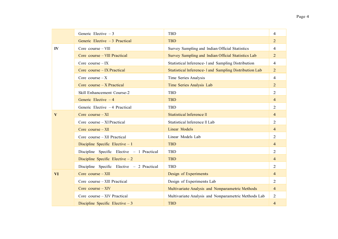|              | Generic Elective $-3$                      | <b>TBD</b>                                            | 4              |
|--------------|--------------------------------------------|-------------------------------------------------------|----------------|
|              | Generic Elective $-3$ Practical            | <b>TBD</b>                                            | $\overline{2}$ |
| IV           | Core course $-$ VIII                       | Survey Sampling and Indian Official Statistics        | $\overline{4}$ |
|              | Core course – VIII Practical               | Survey Sampling and Indian Official Statistics Lab    | $\overline{2}$ |
|              | Core course $-IX$                          | Statistical Inference- I and Sampling Distribution    | $\overline{4}$ |
|              | Core course – IX Practical                 | Statistical Inference-I and Sampling Distribution Lab | $\overline{2}$ |
|              | Core course $-X$                           | Time Series Analysis                                  | $\overline{4}$ |
|              | Core course $- X$ Practical                | Time Series Analysis Lab                              | $\overline{2}$ |
|              | Skill Enhancement Course-2                 | TBD                                                   | 2              |
|              | Generic Elective $-4$                      | <b>TBD</b>                                            | $\overline{4}$ |
|              | Generic Elective -4 Practical              | TBD                                                   | 2              |
| $\mathbf{V}$ | Core course $-XI$                          | Statistical Inference II                              | $\overline{4}$ |
|              | Core course - XI Practical                 | Statistical Inference II Lab                          | 2              |
|              | Core course $- XII$                        | Linear Models                                         | $\overline{4}$ |
|              | Core course - XII Practical                | Linear Models Lab                                     | 2              |
|              | Discipline Specific Elective $-1$          | <b>TBD</b>                                            | $\overline{4}$ |
|              | Discipline Specific Elective - 1 Practical | <b>TBD</b>                                            | 2              |
|              | Discipline Specific Elective $-2$          | <b>TBD</b>                                            | $\overline{4}$ |
|              | Discipline Specific Elective - 2 Practical | <b>TBD</b>                                            | 2              |
| VI           | Core course $-$ XIII                       | Design of Experiments                                 | $\overline{4}$ |
|              | Core course – XIII Practical               | Design of Experiments Lab                             | 2              |
|              | Core course $- XIV$                        | Multivariate Analysis and Nonparametric Methods       | $\overline{4}$ |
|              | Core course – XIV Practical                | Multivariate Analysis and Nonparametric Methods Lab   | 2              |
|              | Discipline Specific Elective $-3$          | <b>TBD</b>                                            | $\overline{4}$ |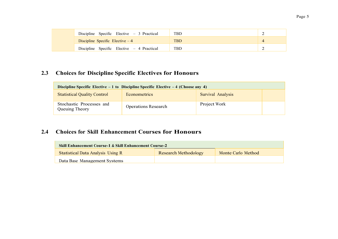| Discipline Specific Elective $-3$ Practical | TBD. |  |
|---------------------------------------------|------|--|
| Discipline Specific Elective $-4$           | TBD  |  |
| Discipline Specific Elective $-4$ Practical | TBD. |  |

# **2.3 Choices for Discipline Specific Electives for Honours**

| Discipline Specific Elective $-1$ to Discipline Specific Elective $-4$ (Choose any 4) |                            |                   |  |
|---------------------------------------------------------------------------------------|----------------------------|-------------------|--|
| <b>Statistical Quality Control</b>                                                    | <b>Econometrics</b>        | Survival Analysis |  |
| Stochastic Processes and<br>Queuing Theory                                            | <b>Operations Research</b> | Project Work      |  |

# **2.4 Choices for Skill Enhancement Courses for Honours**

| <b>Skill Enhancement Course-1 &amp; Skill Enhancement Course-2</b> |                             |                    |  |
|--------------------------------------------------------------------|-----------------------------|--------------------|--|
| <b>Statistical Data Analysis Using R</b>                           | <b>Research Methodology</b> | Monte Carlo Method |  |
| Data Base Management Systems                                       |                             |                    |  |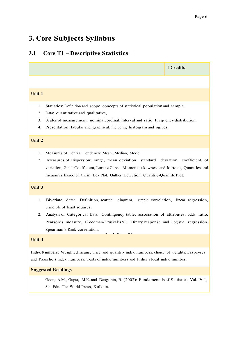# **3. Core Subjects Syllabus**

# **3.1 Core T1 – Descriptive Statistics**

|                                                                                                                                     | <b>4 Credits</b>                                                                                                                                                                                                                                                |
|-------------------------------------------------------------------------------------------------------------------------------------|-----------------------------------------------------------------------------------------------------------------------------------------------------------------------------------------------------------------------------------------------------------------|
|                                                                                                                                     |                                                                                                                                                                                                                                                                 |
| Unit 1                                                                                                                              |                                                                                                                                                                                                                                                                 |
| 1.<br>2.<br>Data: quantitative and qualitative,<br>3.<br>Presentation: tabular and graphical, including histogram and ogives.<br>4. | Statistics: Definition and scope, concepts of statistical population and sample.<br>Scales of measurement: nominal, ordinal, interval and ratio. Frequency distribution.                                                                                        |
| Unit 2                                                                                                                              |                                                                                                                                                                                                                                                                 |
| Measures of Central Tendency: Mean, Median, Mode.<br>1.<br>2.                                                                       | Measures of Dispersion: range, mean deviation, standard deviation, coefficient of<br>variation, Gini's Coefficient, Lorenz Curve. Moments, skewness and kurtosis, Quantiles and<br>measures based on them. Box Plot. Outlier Detection. Quantile-Quantile Plot. |
| <b>Unit 3</b>                                                                                                                       |                                                                                                                                                                                                                                                                 |
| 1.<br>Bivariate data:<br>Definition, scatter<br>principle of least squares.<br>2.<br>Spearman's Rank correlation.                   | diagram,<br>simple correlation, linear regression,<br>Analysis of Categorical Data: Contingency table, association of attributes, odds ratio,<br>Pearson's measure, Goodman-Kruskal's $\gamma$ ; Binary response and logistic regression.                       |
| Unit 4                                                                                                                              | <u> 1914 - Jan James Barnett, politik artist</u>                                                                                                                                                                                                                |
|                                                                                                                                     | Index Numbers: Weighted means, price and quantity index numbers, choice of weights, Laspeyres'<br>and Paasche's index numbers. Tests of index numbers and Fisher's Ideal index number.                                                                          |
| <b>Suggested Readings</b>                                                                                                           |                                                                                                                                                                                                                                                                 |
| 8th Edn. The World Press, Kolkata.                                                                                                  | Goon, A.M., Gupta, M.K. and Dasgupta, B. (2002): Fundamentals of Statistics, Vol. 1& II,                                                                                                                                                                        |
|                                                                                                                                     |                                                                                                                                                                                                                                                                 |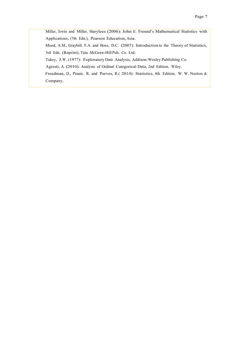Miller, Irwin and Miller, Marylees (2006): John E. Freund's Mathematical Statistics with Applications, (7th Edn.), Pearson Education, Asia.

 Mood, A.M., Graybill, F.A. and Boes, D.C. (2007): Introduction to the Theory of Statistics, 3rd Edn. (Reprint), Tata McGraw-Hill Pub. Co. Ltd.

Tukey, J.W. (1977): Exploratory Data Analysis, Addison-Wesley Publishing Co.

Agresti, A. (2010): Analysis of Ordinal Categorical Data, 2nd Edition, Wiley.

Freedman, D., Pisani, R. and Purves, R.( 2014): Statistics, 4th Edition, W. W. Norton & Company.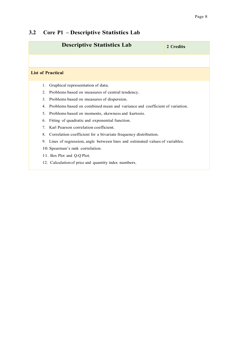# **3.2 Core P1 – Descriptive Statistics Lab**

| <b>Descriptive Statistics Lab</b>                                                 | 2 Credits |  |
|-----------------------------------------------------------------------------------|-----------|--|
|                                                                                   |           |  |
| <b>List of Practical</b>                                                          |           |  |
| Graphical representation of data.<br>1.                                           |           |  |
| 2.<br>Problems based on measures of central tendency.                             |           |  |
| 3.<br>Problems based on measures of dispersion.                                   |           |  |
| Problems based on combined mean and variance and coefficient of variation.<br>4.  |           |  |
| 5.<br>Problems based on moments, skewness and kurtosis.                           |           |  |
| Fitting of quadratic and exponential function.<br>6.                              |           |  |
| Karl Pearson correlation coefficient.<br>7 <sub>1</sub>                           |           |  |
| 8.<br>Correlation coefficient for a bivariate frequency distribution.             |           |  |
| Lines of regression, angle between lines and estimated values of variables.<br>9. |           |  |
| 10. Spearman's rank correlation.                                                  |           |  |
| 11. Box Plot and Q-Q Plot.                                                        |           |  |
| 12. Calculation of price and quantity index numbers.                              |           |  |
|                                                                                   |           |  |
|                                                                                   |           |  |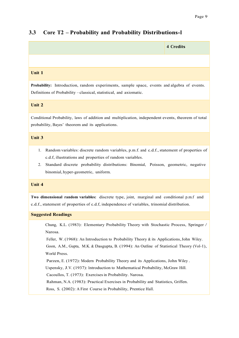## **3.3 Core T2 – Probability and Probability Distributions-I**

| <b>4 Credits</b>                                                                                                                                                                                                                                                                                 |  |  |
|--------------------------------------------------------------------------------------------------------------------------------------------------------------------------------------------------------------------------------------------------------------------------------------------------|--|--|
|                                                                                                                                                                                                                                                                                                  |  |  |
| Unit 1                                                                                                                                                                                                                                                                                           |  |  |
| Probability: Introduction, random experiments, sample space, events and algebra of events.<br>Definitions of Probability - classical, statistical, and axiomatic.                                                                                                                                |  |  |
| Unit 2                                                                                                                                                                                                                                                                                           |  |  |
| Conditional Probability, laws of addition and multiplication, independent events, theorem of total<br>probability, Bayes' theorem and its applications.                                                                                                                                          |  |  |
| Unit 3                                                                                                                                                                                                                                                                                           |  |  |
| Random variables: discrete random variables, p.m.f. and c.d.f., statement of properties of<br>1.<br>c.d.f, illustrations and properties of random variables.<br>Standard discrete probability distributions: Binomial, Poisson, geometric, negative<br>2.<br>binomial, hyper-geometric, uniform. |  |  |
| Unit 4                                                                                                                                                                                                                                                                                           |  |  |
| Two dimensional random variables: discrete type, joint, marginal and conditional p.m.f and<br>c.d.f., statement of properties of c.d.f, independence of variables, trinomial distribution.                                                                                                       |  |  |
| <b>Suggested Readings</b>                                                                                                                                                                                                                                                                        |  |  |
| Chung, K.L. (1983): Elementary Probability Theory with Stochastic Process, Springer /<br>Narosa.<br>Feller, W. (1968): An Introduction to Probability Theory & its Applications, John Wiley.<br>Goon, A.M., Gupta, M.K. & Dasgupta, B. (1994): An Outline of Statistical Theory (Vol-1),         |  |  |

World Press.

Parzen, E. (1972): Modern Probability Theory and its Applications, John Wiley .

Uspensky, J.V. (1937): Introduction to Mathematical Probability, McGraw Hill.

Cacoullos, T. (1973): Exercises in Probability. Narosa.

Rahman, N.A. (1983): Practical Exercises in Probability and Statistics, Griffen.

Ross, S. (2002): A First Course in Probability, Prentice Hall.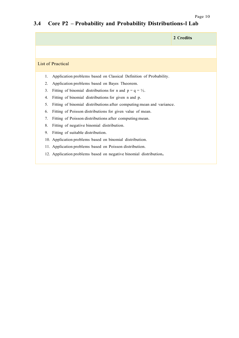# **3.4 Core P2 – Probability and Probability Distributions-I Lab**

|                          |                                                                      | 2 Credits |
|--------------------------|----------------------------------------------------------------------|-----------|
|                          |                                                                      |           |
| <b>List of Practical</b> |                                                                      |           |
| 1.                       | Application problems based on Classical Definition of Probability.   |           |
| 2.                       | Application problems based on Bayes Theorem.                         |           |
| 3.                       | Fitting of binomial distributions for n and $p = q = \frac{1}{2}$ .  |           |
| 4.                       | Fitting of binomial distributions for given n and p.                 |           |
| 5.                       | Fitting of binomial distributions after computing mean and variance. |           |
| 6.                       | Fitting of Poisson distributions for given value of mean.            |           |
| 7.                       | Fitting of Poisson distributions after computing mean.               |           |
| 8.                       | Fitting of negative binomial distribution.                           |           |
| 9.                       | Fitting of suitable distribution.                                    |           |
|                          | 10. Application problems based on binomial distribution.             |           |
|                          | 11. Application problems based on Poisson distribution.              |           |
|                          | 12. Application problems based on negative binomial distribution.    |           |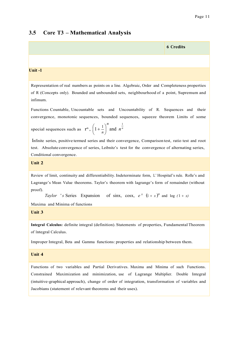## **3.5 Core T3 – Mathematical Analysis**



Representation of real numbers as points on a line. Algebraic, Order and Completeness properties of R (Concepts only). Bounded and unbounded sets, neighbourhood of a point, Supremum and infimum.

Functions Countable, Uncountable sets and Uncountability of R. Sequences and their convergence, monotonic sequences, bounded sequences, squeeze theorem Limits of some

special sequences such as 
$$
\mathbf{r}^n
$$
,  $\left(1 + \frac{1}{n}\right)^n$  and  $n^{\frac{1}{n}}$ 

 Infinite series, positive termed series and their convergence, Comparison test, ratio test and root test. Absolute convergence of series, Leibnitz's test for the convergence of alternating series, Conditional convergence.

#### **Unit 2**

Review of limit, continuity and differentiability.Indeterminate form, L' Hospital's rule. Rolle's and Lagrange's Mean Value theorems. Taylor's theorem with lagrange's form of remainder (without proof).

*Taylor* '*s* Series Expansion of sinx, cosx,  $e^x$   $(1+x)^n$  and log  $(1+x)^n$ 

Maxima and Minima of functions

**Unit 3**

**Integral Calculus:** definite integral (definition). Statements of properties, Fundamental Theorem of Integral Calculus.

Improper Integral, Beta and Gamma functions: properties and relationship between them.

#### **Unit 4**

Functions of two variables and Partial Derivatives. Maxima and Minima of such Functions. Constrained Maximization and minimization, use of Lagrange Multiplier. Double Integral (intuitive-graphical approach), change of order of integration, transformation of variables and Jacobians (statement of relevant theorems and their uses).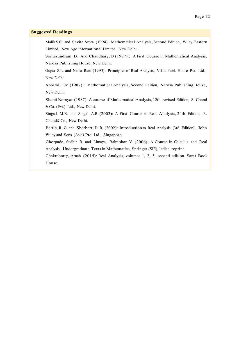#### **Suggested Readings**

 Malik S.C. and Savita Arora (1994): Mathematical Analysis, Second Edition, Wiley Eastern Limited, New Age International Limited, New Delhi.

Somasundram, D. And Chaudhary, B (1987).: A First Course in Mathematical Analysis, Narosa Publishing House, New Delhi.

Gupta S.L. and Nisha Rani (1995): Principles of Real Analysis, Vikas Publ. House Pvt. Ltd., New Delhi.

Apostol, T.M (1987).: Mathematical Analysis, Second Edition, Narosa Publishing House, New Delhi.

 Shanti Narayan (1987): A course of Mathematical Analysis, 12th revised Edition, S. Chand & Co. (Pvt.) Ltd., New Delhi.

 Singa,l M.K. and Singal A.R (2003): A First Course in Real Analysis, 24th Edition, R. Chand& Co., New Delhi.

 Bartle, R. G. and Sherbert, D. R. (2002): Introduction to Real Analysis (3rd Edition), John Wiley and Sons (Asia) Pte. Ltd., Singapore.

 Ghorpade, Sudhir R. and Limaye, Balmohan V. (2006): A Course in Calculus and Real Analysis, Undergraduate Texts in Mathematics, Springer (SIE), Indian reprint.

 Chakraborty, Arnab (2014): Real Analysis, volumes 1, 2, 3, second edition. Sarat Book House.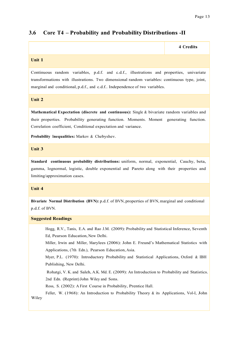**4 Credits**

### **3.6 Core T4 – Probability and Probability Distributions -II**

#### **Unit 1**

Continuous random variables, p.d.f. and c.d.f., illustrations and properties, univariate transformations with illustrations. Two dimensional random variables: continuous type, joint, marginal and conditional, p.d.f., and c.d.f.. Independence of two variables.

**Unit 2**

**Mathematical Expectation (discrete and continuous):** Single & bivariate random variables and their properties. Probability generating function. Moments. Moment generating function. Correlation coefficient, Conditional expectation and variance.

**Probability Inequalities:** Markov & Chebyshev.

#### **Unit 3**

**Standard continuous probability distributions:** uniform, normal, exponential, Cauchy, beta, gamma, lognormal, logistic, double exponential and Pareto along with their properties and limiting/approximation cases.

#### **Unit 4**

**Bivariate Normal Distribution (BVN):** p.d.f. of BVN, properties of BVN, marginal and conditional p.d.f. of BVN.

#### **Suggested Readings**

 Hogg, R.V., Tanis, E.A. and Rao J.M. (2009): Probability and Statistical Inference, Seventh Ed, Pearson Education, New Delhi.

 Miller, Irwin and Miller, Marylees (2006): John E. Freund's Mathematical Statistics with Applications, (7th Edn.), Pearson Education, Asia.

Myer, P.L. (1970): Introductory Probability and Statistical Applications, Oxford & IBH Publishing, New Delhi.

 Rohatgi, V. K. and Saleh, A.K. Md. E. (2009): An Introduction to Probability and Statistics. 2nd Edn. (Reprint)John Wiley and Sons.

Ross, S. (2002): A First Course in Probability, Prentice Hall.

 Feller, W. (1968): An Introduction to Probability Theory & its Applications, Vol-I, John Wiley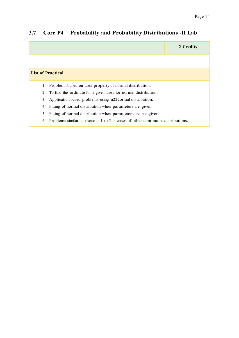## **3.7 Core P4 – Probability and Probability Distributions -II Lab**

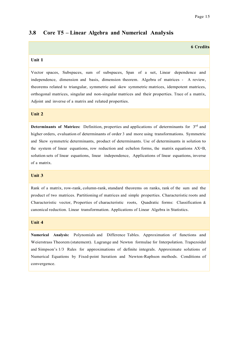#### **3.8 Core T5 – Linear Algebra and Numerical Analysis**

#### **6 Credits**

#### **Unit 1**

Vector spaces, Subspaces, sum of subspaces, Span of a set, Linear dependence and independence, dimension and basis, dimension theorem. Algebra of matrices - A review, theorems related to triangular, symmetric and skew symmetric matrices, idempotent matrices, orthogonal matrices, singular and non-singular matrices and their properties. Trace of a matrix, Adjoint and inverse of a matrix and related properties.

#### **Unit 2**

**Determinants of Matrices:** Definition, properties and applications of determinants for 3<sup>rd</sup> and higher orders, evaluation of determinants of order 3 and more using transformations. Symmetric and Skew symmetric determinants, product of determinants. Use of determinants in solution to the system of linear equations, row reduction and echelon forms, the matrix equations AX=B, solution sets of linear equations, linear independence, Applications of linear equations, inverse of a matrix.

#### **Unit 3**

Rank of a matrix, row-rank, column-rank, standard theorems on ranks, rank of the sum and the product of two matrices. Partitioning of matrices and simple properties. Characteristic roots and Characteristic vector, Properties of characteristic roots, Quadratic forms: Classification & canonical reduction. Linear transformation. Applications of Linear Algebra in Statistics.

#### **Unit 4**

**Numerical Analysis:** Polynomials and Difference Tables. Approximation of functions and Weierstrass Theorem (statement). Lagrange and Newton formulae for Interpolation. Trapezoidal and Simpson's 1/3 Rules for approximations of definite integrals. Approximate solutions of Numerical Equations by Fixed-point Iteration and Newton-Raphson methods. Conditions of convergence.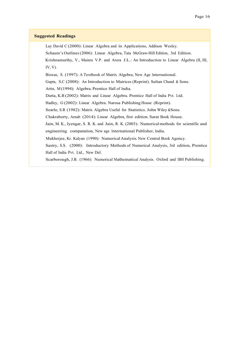#### **Suggested Readings**

 Lay David C (2000): Linear Algebra and its Applications, Addison Wesley. Schaum's Outlines(2006): Linear Algebra, Tata McGraw-Hill Edition, 3rd Edition. Krishnamurthy, V., Mainra V.P. and Arora J.L.: An Introduction to Linear Algebra (II, III, IV, V).

Biswas, S. (1997): A Textbook of Matrix Algebra, New Age International.

Gupta, S.C (2008): An Introduction to Matrices (Reprint). Sultan Chand & Sons.

Artin, M(1994): Algebra. Prentice Hall of India.

Datta, K.B (2002): Matrix and Linear Algebra. Prentice Hall of India Pvt. Ltd.

Hadley, G (2002): Linear Algebra. Narosa Publishing House (Reprint).

Searle, S.R (1982): Matrix Algebra Useful for Statistics. John Wiley &Sons.

Chakraborty, Arnab (2014): Linear Algebra, first edition. Sarat Book House.

Jain, M. K., Iyengar, S. R. K. and Jain, R. K. (2003): Numerical methods for scientific and engineering computation, New age International Publisher, India.

Mukherjee, Kr. Kalyan (1990): Numerical Analysis.New Central Book Agency.

 Sastry, S.S. (2000): Introductory Methods of Numerical Analysis, 3rd edition, Prentice Hall of India Pvt. Ltd., New Del.

Scarborough, J.B. (1966): Numerical Mathematical Analysis. Oxford and IBH Publishing.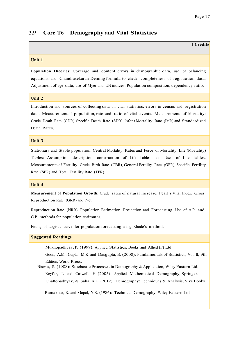**4 Credits**

### **3.9 Core T6 – Demography and Vital Statistics**

#### **Unit 1**

**Population Theories:** Coverage and content errors in demographic data, use of balancing equations and Chandrasekaran-Deming formula to check completeness of registration data. Adjustment of age data, use of Myer and UN indices, Population composition, dependency ratio.

#### **Unit 2**

Introduction and sources of collecting data on vital statistics, errors in census and registration data. Measurement of population, rate and ratio of vital events. Measurements of Mortality: Crude Death Rate (CDR), Specific Death Rate (SDR), Infant Mortality, Rate (IMR) and Standardized Death Rates.

#### **Unit 3**

Stationary and Stable population, Central Mortality Rates and Force of Mortality. Life (Mortality) Tables: Assumption, description, construction of Life Tables and Uses of Life Tables. Measurements of Fertility: Crude Birth Rate (CBR), General Fertility Rate (GFR), Specific Fertility Rate (SFR) and Total Fertility Rate (TFR).

#### **Unit 4**

**Measurement of Population Growth:** Crude rates of natural increase, Pearl's Vital Index, Gross Reproduction Rate (GRR) and Net

Reproduction Rate (NRR). Population Estimation, Projection and Forecasting: Use of A.P. and G.P. methods for population estimates,

Fitting of Logistic curve for population forecasting using Rhode's method.

#### **Suggested Readings**

Mukhopadhyay, P. (1999): Applied Statistics, Books and Allied (P) Ltd.

 Goon, A.M., Gupta, M.K. and Dasgupta, B. (2008): Fundamentals of Statistics, Vol. II, 9th Edition, World Press.

 Biswas, S. (1988): Stochastic Processes in Demography & Application, Wiley Eastern Ltd. Keyfitz, N and Caswell. H (2005): Applied Mathematical Demography, Springer. Chattopadhyay, & Saha, A.K. (2012): Demography: Techniques & Analysis, Viva Books

Ramakuar, R. and Gopal, Y.S. (1986): Technical Demography. Wiley Eastern Ltd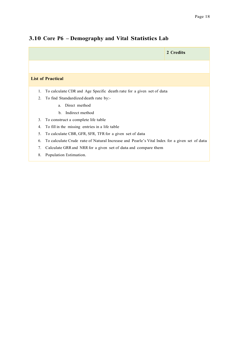## **3.10 Core P6 – Demography and Vital Statistics Lab**

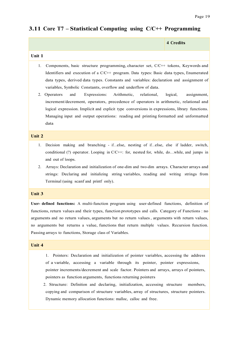## **3.11 Core T7 – Statistical Computing using C/C++ Programming**

|        | 4 Credits |
|--------|-----------|
| Unit 1 |           |

- 1. Components, basic structure programming, character set, C/C++ tokens, Keywords and Identifiers and execution of a C/C++ program. Data types: Basic data types, Enumerated data types, derived data types. Constants and variables: declaration and assignment of variables, Symbolic Constants, overflow and underflow of data.
- 2. Operators and Expressions: Arithmetic, relational, logical, assignment, increment/decrement, operators, precedence of operators in arithmetic, relational and logical expression. Implicit and explicit type conversions in expressions, library functions. Managing input and output operations: reading and printing formatted and unformatted data

#### **Unit 2**

- 1. Decision making and branching if…else, nesting of if…else, else if ladder, switch, conditional (?) operator. Looping in  $C/C++$ : for, nested for, while, do...while, and jumps in and out of loops.
- 2. Arrays: Declaration and initialization of one-dim and two-dim arrays. Character arrays and strings: Declaring and initializing string variables, reading and writing strings from Terminal (using scanf and printf only).

#### **Unit 3**

**User- defined functions:** A multi-function program using user-defined functions, definition of functions, return values and their types, function prototypes and calls. Category of Functions : no arguments and no return values, arguments but no return values, arguments with return values, no arguments but returns a value, functions that return multiple values. Recursion function. Passing arrays to functions, Storage class of Variables.

#### **Unit 4**

- 1. Pointers: Declaration and initialization of pointer variables, accessing the address of a variable, accessing a variable through its pointer, pointer expressions, pointer increments/decrement and scale factor. Pointers and arrays, arrays of pointers, pointers as function arguments, functions returning pointers
- 2. Structure: Definition and declaring, initialization, accessing structure members, copying and comparison of structure variables, array of structures, structure pointers. Dynamic memory allocation functions: malloc, calloc and free.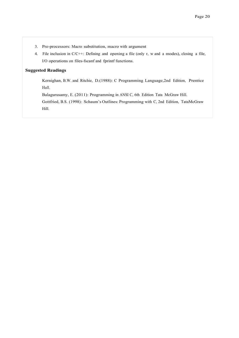- 3. Pre-processors: Macro substitution, macro with argument
- 4. File inclusion in C/C++: Defining and opening a file (only r, w and a modes), closing a file, I/O operations on files-fscanf and fprintf functions.

#### **Suggested Readings**

 Kernighan, B.W. and Ritchie, D.(1988): C Programming Language,2nd Edition, Prentice Hall.

Balagurusamy, E. (2011): Programming in ANSI C, 6th Edition Tata McGraw Hill.

 Gottfried, B.S. (1998): Schaum's Outlines: Programming with C, 2nd Edition, TataMcGraw Hill.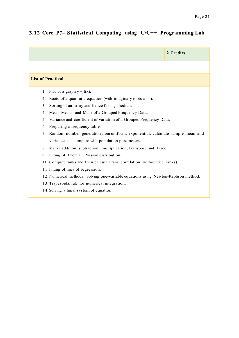# **3.12 Core P7– Statistical Computing using C/C++ Programming Lab**

|                                                                                     | 2 Credits |
|-------------------------------------------------------------------------------------|-----------|
|                                                                                     |           |
| <b>List of Practical</b>                                                            |           |
| Plot of a graph $y = f(x)$ .<br>1.                                                  |           |
| Roots of a quadratic equation (with imaginary roots also).<br>2.                    |           |
| 3.<br>Sorting of an array and hence finding median.                                 |           |
| Mean, Median and Mode of a Grouped Frequency Data.<br>4.                            |           |
| Variance and coefficient of variation of a Grouped Frequency Data.<br>5.            |           |
| Preparing a frequency table.<br>6.                                                  |           |
| 7.<br>Random number generation from uniform, exponential, calculate sample mean and |           |
| variance and compare with population parameters.                                    |           |
| Matrix addition, subtraction, multiplication, Transpose and Trace.<br>8.            |           |
| Fitting of Binomial, Poisson distribution.<br>9.                                    |           |
| 10. Compute ranks and then calculate rank correlation (without tied ranks).         |           |
| 11. Fitting of lines of regression.                                                 |           |
| 12. Numerical methods: Solving one-variable equations using Newton-Raphson method.  |           |
| 13. Trapezoidal rule for numerical integration.                                     |           |
| 14. Solving a linear system of equation.                                            |           |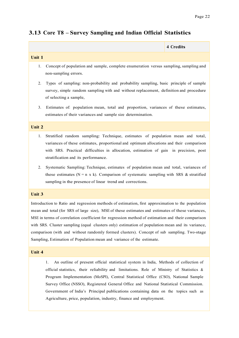## **3.13 Core T8 – Survey Sampling and Indian Official Statistics**

|               | 4 Credits |
|---------------|-----------|
| <b>Unit 1</b> |           |

- 1. Concept of population and sample, complete enumeration versus sampling, sampling and non-sampling errors.
- 2. Types of sampling: non-probability and probability sampling, basic principle of sample survey, simple random sampling with and without replacement, definition and procedure of selecting a sample,
- 3. Estimates of: population mean, total and proportion, variances of these estimates, estimates of their variances and sample size determination.

#### **Unit 2**

- 1. Stratified random sampling: Technique, estimates of population mean and total, variances of these estimates, proportional and optimum allocations and their comparison with SRS. Practical difficulties in allocation, estimation of gain in precision, post stratification and its performance.
- 2. Systematic Sampling: Technique, estimates of population mean and total, variances of these estimates ( $N = n \times k$ ). Comparison of systematic sampling with SRS & stratified sampling in the presence of linear trend and corrections.

#### **Unit 3**

Introduction to Ratio and regression methods of estimation, first approximation to the population mean and total (for SRS of large size), MSE of these estimates and estimates of these variances, MSE in terms of correlation coefficient for regression method of estimation and their comparison with SRS. Cluster sampling (equal clusters only) estimation of population mean and its variance, comparison (with and without randomly formed clusters). Concept of sub sampling. Two-stage Sampling, Estimation of Population mean and variance of the estimate.

#### **Unit 4**

1. An outline of present official statistical system in India, Methods of collection of official statistics, their reliability and limitations. Role of Ministry of Statistics & Program Implementation (MoSPI), Central Statistical Office (CSO), National Sample Survey Office (NSSO), Registered General Office and National Statistical Commission. Government of India's Principal publications containing data on the topics such as Agriculture, price, population, industry, finance and employment.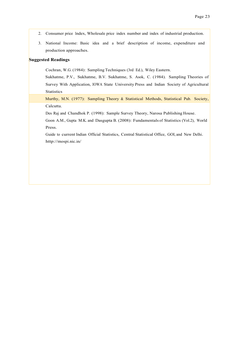- 2. Consumer price Index, Wholesale price index number and index of industrial production.
- 3. National Income: Basic idea and a brief description of income, expenditure and production approaches.

#### **Suggested Readings**

Cochran, W.G. (1984): Sampling Techniques (3rd Ed.), Wiley Eastern.

Sukhatme, P.V., Sukhatme, B.V. Sukhatme, S. Asok, C. (1984). Sampling Theories of Survey With Application, IOWA State University Press and Indian Society of Agricultural **Statistics** 

Murthy, M.N. (1977): Sampling Theory & Statistical Methods, Statistical Pub. Society, Calcutta.

Des Raj and Chandhok P. (1998): Sample Survey Theory, Narosa Publishing House.

 Goon A.M., Gupta M.K. and Dasgupta B. (2008): Fundamentals of Statistics (Vol.2), World Press.

 Guide to current Indian Official Statistics, Central Statistical Office, GOI, and New Delhi. http://mospi.nic.in/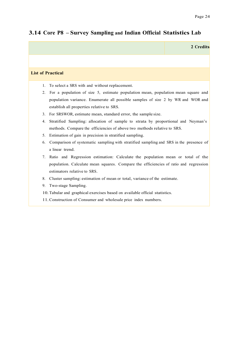# **2 Credits List of Practical** 1. To select a SRS with and without replacement. 2. For a population of size 5, estimate population mean, population mean square and population variance. Enumerate all possible samples of size 2 by WR and WOR and establish all properties relative to SRS. 3. For SRSWOR, estimate mean, standard error, the sample size. 4. Stratified Sampling: allocation of sample to strata by proportional and Neyman's methods. Compare the efficiencies of above two methods relative to SRS. 5. Estimation of gain in precision in stratified sampling. 6. Comparison of systematic sampling with stratified sampling and SRS in the presence of a linear trend. 7. Ratio and Regression estimation: Calculate the population mean or total of the population. Calculate mean squares. Compare the efficiencies of ratio and regression estimators relative to SRS. 8. Cluster sampling: estimation of mean or total, variance of the estimate. 9. Two-stage Sampling. 10.Tabular and graphical exercises based on available official statistics. 11.Construction of Consumer and wholesale price index numbers.

## **3.14 Core P8 – Survey Sampling and Indian Official Statistics Lab**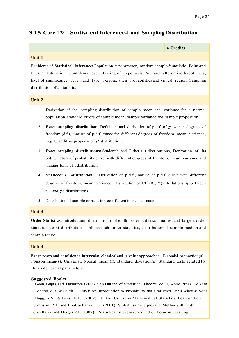## **3.15 Core T9 – Statistical Inference-I and Sampling Distribution**

| 4 Credits |
|-----------|
|           |

#### **Unit 1**

**Problems of Statistical Inference:** Population & parameter, random sample & statistic, Point and Interval Estimation, Confidence level, Testing of Hypothesis, Null and alternative hypotheses, level of significance, Type I and Type II errors, their probabilities and critical region. Sampling distribution of a statistic.

#### **Unit 2**

- 1. Derivation of the sampling distribution of sample mean and variance for a normal population,standard errors of sample mean, sample variance and sample proportion.
- 2. **Exact sampling distribution:** Definition and derivation of p.d.f. of  $\chi^2$  with n degrees of freedom (d.f.), nature of p.d.f. curve for different degrees of freedom, mean, variance, m.g.f., additive property of χ2 distribution.
- 3. **Exact sampling distributions:** Student's and Fisher's t-distributions, Derivation of its p.d.f., nature of probability curve with different degrees of freedom, mean, variance and limiting form of t distribution.
- 4. **Snedecor's F-distribution:** Derivation of p.d.f., nature of p.d.f. curve with different degrees of freedom, mean, variance. Distribution of  $1/F (n_1, n_2)$ . Relationship between t, F and  $\chi$ 2 distributions.
- 5. Distribution of sample correlation coefficient in the null case.

#### **Unit 3**

**Order Statistics:** Introduction, distribution of the rth order statistic, smallest and largest order statistics. Joint distribution of rth and sth order statistics, distribution of sample median and sample range.

#### **Unit 4**

**Exact tests and confidence intervals:** classical and p-value approaches. Binomial proportion(s), Poisson mean(s), Univariate Normal mean (s), standard deviation(s), Standard tests related to Bivariate normal parameters.

#### **Suggested Books**

 Goon, Gupta, and Dasgupta (2003): An Outline of Statistical Theory, Vol. I, World Press, Kolkata. Rohatgi V. K. & Saleh,. (2009): An Introduction to Probability and Statistics. John Wiley & Sons. Hogg, R.V. & Tanis, E.A. (2009): A Brief Course in Mathematical Statistics. Pearson Edn Johnson, R.A. and Bhattacharya, G.K. (2001): Statistics-Principles and Methods, 4th Edn. Casella, G. and Berger R.L (2002). : Statistical Inference, 2nd Edn. Thomson Learning.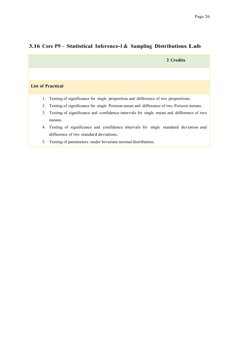|    |                                                                                        | 2 Credits |
|----|----------------------------------------------------------------------------------------|-----------|
|    |                                                                                        |           |
|    | <b>List of Practical</b>                                                               |           |
| 1. | Testing of significance for single proportion and difference of two proportions.       |           |
| 2. | Testing of significance for single Poisson mean and difference of two Poisson means.   |           |
| 3. | Testing of significance and confidence intervals for single mean and difference of two |           |
|    | means.                                                                                 |           |
| 4. | Testing of significance and confidence intervals for single standard deviation and     |           |
|    | difference of two standard deviations.                                                 |           |
| 5. | Testing of parameters under bivariate normal distribution.                             |           |

# **3.16 Core P9 – Statistical Inference-I & Sampling Distributions Lab**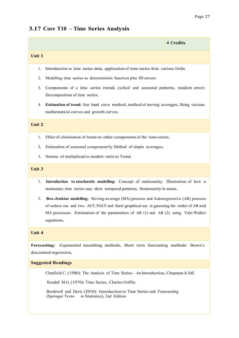# **3.17 Core T10 – Time Series Analysis**

|                                                                                                                                           |                                                                                                                                                                                                                                                                                   | <b>4 Credits</b> |
|-------------------------------------------------------------------------------------------------------------------------------------------|-----------------------------------------------------------------------------------------------------------------------------------------------------------------------------------------------------------------------------------------------------------------------------------|------------------|
| Unit 1                                                                                                                                    |                                                                                                                                                                                                                                                                                   |                  |
| 1.                                                                                                                                        | Introduction to time series data, application of time series from various fields.                                                                                                                                                                                                 |                  |
| 2.                                                                                                                                        | Modelling time series as deterministic function plus IID errors:                                                                                                                                                                                                                  |                  |
| 3.                                                                                                                                        | Components of a time series (trend, cyclical and seasonal patterns, random error)<br>Decomposition of time series.                                                                                                                                                                |                  |
| 4.                                                                                                                                        | Estimation of trend: free hand curve method, method of moving averages, fitting various<br>mathematical curves and growth curves.                                                                                                                                                 |                  |
| Unit 2                                                                                                                                    |                                                                                                                                                                                                                                                                                   |                  |
| 1.                                                                                                                                        | Effect of elimination of trend on other components of the time series.                                                                                                                                                                                                            |                  |
| 2.                                                                                                                                        | Estimation of seasonal component by Method of simple averages,                                                                                                                                                                                                                    |                  |
| 3.                                                                                                                                        | Notions of multiplicative models: ratio to Trend.                                                                                                                                                                                                                                 |                  |
| Unit 3                                                                                                                                    |                                                                                                                                                                                                                                                                                   |                  |
| 1.                                                                                                                                        | Introduction to stochastic modelling: Concept of stationarity. Illustration of how a<br>stationary time series may show temporal patterns. Stationarity in mean.                                                                                                                  |                  |
| 2.                                                                                                                                        | Box-Jenkins modelling: Moving-average (MA) process and Autoregressive (AR) process<br>of orders one and two. ACF, PACF and their graphical use in guessing the order of AR and<br>MA processes. Estimation of the parameters of AR (1) and AR (2) using Yule-Walker<br>equations. |                  |
| Unit 4                                                                                                                                    |                                                                                                                                                                                                                                                                                   |                  |
| Exponential smoothing methods, Short term forecasting methods: Brown's<br>Forecasting:<br>discounted regression,                          |                                                                                                                                                                                                                                                                                   |                  |
| <b>Suggested Readings</b>                                                                                                                 |                                                                                                                                                                                                                                                                                   |                  |
| Chatfield C. (1980): The Analysis of Time Series - An Introduction, Chapman & Hall.<br>Kendall M.G. (1976): Time Series, Charles Griffin. |                                                                                                                                                                                                                                                                                   |                  |

 Brockwell and Davis (2010): Introduction to Time Series and Forecasting (Springer Texts in Statistics), 2nd Edition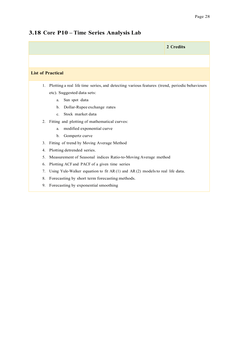## **3.18 Core P10 – Time Series Analysis Lab**

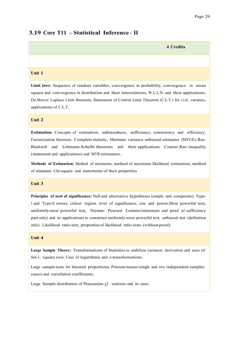### **3.19 Core T11 – Statistical Inference - II**

# **4 Credits Unit 1**

**Limit laws:** Sequence of random variables, convergence in probability, convergence in mean square and convergence in distribution and their interrelations, W.L.L.N. and their applications, De-Moivre Laplace Limit theorem, Statement of Central Limit Theorem (C.L.T.) for i.i.d. variates, applications of C.L.T.

#### **Unit 2**

**Estimation:** Concepts of estimation, unbiasedness, sufficiency, consistency and efficiency. Factorization theorem. Complete statistic, Minimum variance unbiased estimator (MVUE), Rao-Blackwell and Lehmann-Scheffe theorems and their applications. Cramer-Rao inequality (statement and applications) and MVB estimators.

**Methods of Estimation:** Method of moments, method of maximum likelihood estimation, method of minimum Chi-square and statements of their properties

#### **Unit 3**

**Principles of test of significance:** Null and alternative hypotheses (simple and composite), Type-<sup>I</sup> and Type-II errors, critical region, level of significance, size and power,Most powerful test, uniformly most powerful test, Neyman- Pearson Lemma (statement and proof of sufficiency part only) and its applications to construct uniformly most powerful test, unbiased test (definition only). Likelihood ratio test, properties of likelihood ratio tests (without proof).

#### **Unit 4**

**Large Sample Theory:** Transformations of Statistics to stabilize variance: derivation and uses of Sin-1, square root. Uses of logarithmic and z-transformations.

Large sample tests for binomial proportions, Poisson means (single and two independent samples cases) and correlation coefficients.

Large Sample distribution of Pearsonian  $\chi$ <sup>2</sup> –statistic and its uses.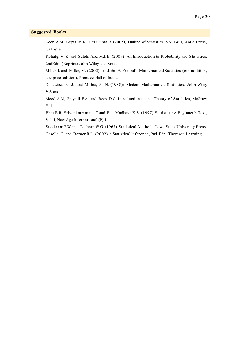#### **Suggested Books**

Goon A.M., Gupta M.K.: Das Gupta.B.(2005), Outline of Statistics, Vol. <sup>I</sup> & II, World Press, Calcutta.

 Rohatgi V. K. and Saleh, A.K. Md. E. (2009): An Introduction to Probability and Statistics. 2ndEdn. (Reprint) John Wiley and Sons.

 Miller, I. and Miller, M. (2002) : John E. Freund's Mathematical Statistics (6th addition, low price edition), Prentice Hall of India.

 Dudewicz, E. J., and Mishra, S. N. (1988): Modern Mathematical Statistics. John Wiley & Sons.

 Mood A.M, Graybill F.A. and Boes D.C, Introduction to the Theory of Statistics, McGraw Hill.

 Bhat B.R, Srivenkatramana T and Rao Madhava K.S. (1997) Statistics: A Beginner's Text, Vol. I, New Age International (P) Ltd.

 Snedecor G.W and Cochran W.G. (1967) Statistical Methods. Lowa State University Press. Casella, G. and Berger R.L. (2002). : Statistical Inference, 2nd Edn. Thomson Learning.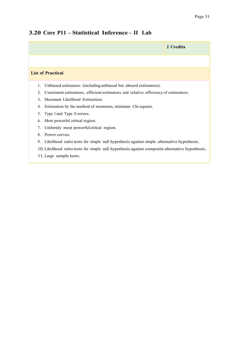# **2 Credits List of Practical** 1. Unbiased estimators (including unbiased but absurd estimators). 2. Consistent estimators, efficient estimators and relative efficiency of estimators. 3. Maximum Likelihood Estimation. 4. Estimation by the method of moments, minimum Chi-square. 5. Type <sup>I</sup> and Type II errors. 6. Most powerful critical region. 7. Uniformly most powerful critical region. 8. Power curves. 9. Likelihood ratio tests for simple null hypothesis against simple alternative hypothesis. 10.Likelihood ratio tests for simple null hypothesis against composite alternative hypothesis. 11.Large sample tests.

# **3.20 Core P11 – Statistical Inference – II Lab**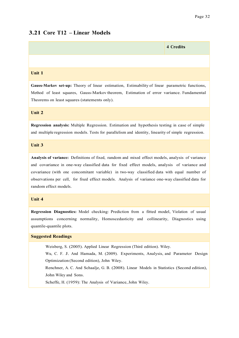## **3.21 Core T12 – Linear Models**

# **4 Credits Unit 1**

**Gauss-Markov set-up:** Theory of linear estimation, Estimability of linear parametric functions, Method of least squares, Gauss-Markov theorem, Estimation of error variance. Fundamental Theorems on least squares (statements only).

#### **Unit 2**

**Regression analysis:** Multiple Regression. Estimation and hypothesis testing in case of simple and multiple regression models. Tests for parallelism and identity, linearity of simple regression.

#### **Unit 3**

**Analysis of variance:** Definitions of fixed, random and mixed effect models, analysis of variance and covariance in one-way classified data for fixed effect models, analysis of variance and covariance (with one concomitant variable) in two-way classified data with equal number of observations per cell, for fixed effect models. Analysis of variance one-way classified data for random effect models.

#### **Unit 4**

**Regression Diagnostics:** Model checking: Prediction from a fitted model, Violation of usual assumptions concerning normality, Homoscedasticity and collinearity, Diagnostics using quantile-quantile plots.

#### **Suggested Readings**

Weisberg, S. (2005). Applied Linear Regression (Third edition). Wiley.

 Wu, C. F. J. And Hamada, M. (2009). Experiments, Analysis, and Parameter Design Optimization (Second edition), John Wiley.

Renchner, A. C. And Schaalje, G. B. (2008). Linear Models in Statistics (Second edition), John Wiley and Sons.

Scheffe, H. (1959): The Analysis of Variance, John Wiley.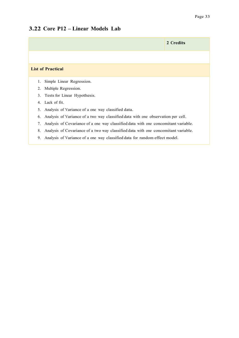### **3.22 Core P12 – Linear Models Lab**

|                                                                                          | 2 Credits |
|------------------------------------------------------------------------------------------|-----------|
|                                                                                          |           |
| <b>List of Practical</b>                                                                 |           |
| Simple Linear Regression.<br>1.                                                          |           |
| Multiple Regression.<br>2.                                                               |           |
| Tests for Linear Hypothesis.<br>3.                                                       |           |
| Lack of fit.<br>4.                                                                       |           |
| Analysis of Variance of a one way classified data.<br>5.                                 |           |
| Analysis of Variance of a two way classified data with one observation per cell.<br>6.   |           |
| Analysis of Covariance of a one way classified data with one concomitant variable.<br>7. |           |
| Analysis of Covariance of a two way classified data with one concomitant variable.<br>8. |           |
| 9.<br>Analysis of Variance of a one way classified data for random effect model.         |           |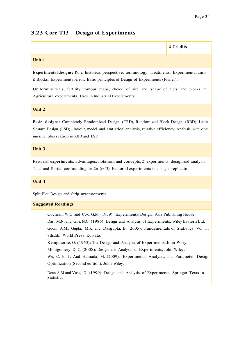### **3.23 Core T13 – Design of Experiments**

'n

|                                                                                                                                                                                                                                                                                                                                                                                                                                                                                                                                                                                                                                                                                                              | 4 Credits |  |
|--------------------------------------------------------------------------------------------------------------------------------------------------------------------------------------------------------------------------------------------------------------------------------------------------------------------------------------------------------------------------------------------------------------------------------------------------------------------------------------------------------------------------------------------------------------------------------------------------------------------------------------------------------------------------------------------------------------|-----------|--|
| Unit 1                                                                                                                                                                                                                                                                                                                                                                                                                                                                                                                                                                                                                                                                                                       |           |  |
| Experimental designs: Role, historical perspective, terminology: Treatments, Experimental units<br>& Blocks, Experimental error, Basic principles of Design of Experiments (Fisher).                                                                                                                                                                                                                                                                                                                                                                                                                                                                                                                         |           |  |
| Uniformity trials, fertility contour maps, choice of size and shape of plots and blocks in<br>Agricultural experiments. Uses in Industrial Experiments.                                                                                                                                                                                                                                                                                                                                                                                                                                                                                                                                                      |           |  |
| Unit 2                                                                                                                                                                                                                                                                                                                                                                                                                                                                                                                                                                                                                                                                                                       |           |  |
| Basic designs: Completely Randomized Design (CRD), Randomized Block Design (RBD), Latin<br>Square Design (LSD) - layout, model and statistical analysis, relative efficiency. Analysis with one<br>missing observation in RBD and LSD.                                                                                                                                                                                                                                                                                                                                                                                                                                                                       |           |  |
| Unit 3                                                                                                                                                                                                                                                                                                                                                                                                                                                                                                                                                                                                                                                                                                       |           |  |
| <b>Factorial experiments:</b> advantages, notations and concepts. $2n$ experiments: design and analysis.<br>Total and Partial confounding for $2n$ ( $n \leq 5$ ). Factorial experiments in a single replicate.                                                                                                                                                                                                                                                                                                                                                                                                                                                                                              |           |  |
| Unit 4                                                                                                                                                                                                                                                                                                                                                                                                                                                                                                                                                                                                                                                                                                       |           |  |
| Split Plot Design and Strip arrangements.                                                                                                                                                                                                                                                                                                                                                                                                                                                                                                                                                                                                                                                                    |           |  |
| <b>Suggested Readings</b>                                                                                                                                                                                                                                                                                                                                                                                                                                                                                                                                                                                                                                                                                    |           |  |
| Cochran, W.G. and Cox, G.M. (1959): Experimental Design. Asia Publishing House.<br>Das, M.N. and Giri, N.C. (1986): Design and Analysis of Experiments. Wiley Eastern Ltd.<br>Goon, A.M., Gupta, M.K. and Dasgupta, B. (2005): Fundamentals of Statistics. Vol. II,<br>8thEdn. World Press, Kolkata.<br>Kempthorne, O. (1965): The Design and Analysis of Experiments. John Wiley.<br>Montgomery, D. C. (2008): Design and Analysis of Experiments, John Wiley.<br>Wu, C. F. J. And Hamada, M. (2009). Experiments, Analysis, and Parameter Design<br>Optimization (Second edition), John Wiley.<br>Dean A M and Voss, D. (1999): Design and Analysis of Experiments. Springer Texts in<br><b>Statistics</b> |           |  |
|                                                                                                                                                                                                                                                                                                                                                                                                                                                                                                                                                                                                                                                                                                              |           |  |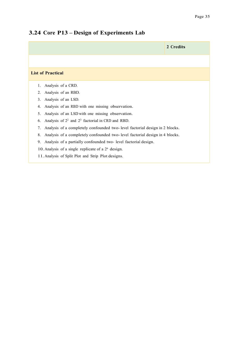# **2 Credits List of Practical** 1. Analysis of a CRD. 2. Analysis of an RBD. 3. Analysis of an LSD. 4. Analysis of an RBD with one missing observation. 5. Analysis of an LSD with one missing observation. 6. Analysis of  $2^2$  and  $2^3$  factorial in CRD and RBD. 7. Analysis of a completely confounded two- level factorial design in 2 blocks. 8. Analysis of a completely confounded two- level factorial design in 4 blocks. 9. Analysis of a partially confounded two- level factorial design. 10. Analysis of a single replicate of a  $2<sup>n</sup>$  design. 11. Analysis of Split Plot and Strip Plot designs.

### **3.24 Core P13 – Design of Experiments Lab**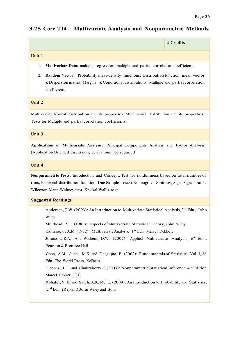### **3.25 Core T14 – Multivariate Analysis and Nonparametric Methods**

|                                                                                                                                                                                                                                                     | <b>4 Credits</b> |
|-----------------------------------------------------------------------------------------------------------------------------------------------------------------------------------------------------------------------------------------------------|------------------|
| Unit 1                                                                                                                                                                                                                                              |                  |
| Multivariate Data: multiple regression, multiple and partial correlation coefficients.<br>1.                                                                                                                                                        |                  |
| Random Vector: Probability mass/density functions, Distribution function, mean vector<br>2.<br>& Dispersion matrix, Marginal & Conditional distributions. Multiple and partial correlation<br>coefficient.                                          |                  |
| Unit 2                                                                                                                                                                                                                                              |                  |
| Multivariate Normal distribution and its properties. Multinomial Distribution and its properties.<br>Tests for Multiple and partial correlation coefficients.                                                                                       |                  |
| <b>Unit 3</b>                                                                                                                                                                                                                                       |                  |
| Applications of Multivariate Analysis: Principal Components Analysis and Factor Analysis<br>(Application Oriented discussion, derivations not required)                                                                                             |                  |
| Unit 4                                                                                                                                                                                                                                              |                  |
| Nonparametric Tests: Introduction and Concept, Test for randomness based on total number of<br>runs, Empirical distribution function, One Sample Tests: Kolmogrov - Smirnov, Sign, Signed rank.<br>Wilcoxon-Mann-Whitney test. Kruskal-Wallis test. |                  |
| <b>Suggested Readings</b>                                                                                                                                                                                                                           |                  |
| Anderson, T.W. (2003): An Introduction to Multivariate Statistical Analysis, 3rd Edn., John<br>Wiley                                                                                                                                                |                  |
| Muirhead, R.J. (1982): Aspects of Multivariate Statistical Theory, John Wiley.                                                                                                                                                                      |                  |
| Kshirsagar, A.M. (1972): Multivariate Analysis, 1 <sup>st</sup> Edn. Marcel Dekker.<br>Johnson, R.A. And Wichern, D.W. (2007): Applied Multivariate Analysis, 6 <sup>th</sup> Edn.,                                                                 |                  |
| Pearson & Prentice Hall<br>Goon, A.M., Gupta, M.K. and Dasgupta, B. (2002): Fundamentals of Statistics, Vol. I, 8 <sup>th</sup>                                                                                                                     |                  |
| Edn. The World Press, Kolkata.                                                                                                                                                                                                                      |                  |
| Gibbons, J. D. and Chakraborty, S (2003): Nonparametric Statistical Inference. 4th Edition.<br>Marcel Dekker, CRC.                                                                                                                                  |                  |
| Rohatgi, V. K. and Saleh, A.K. Md. E. (2009): An Introduction to Probability and Statistics.                                                                                                                                                        |                  |

2nd Edn. (Reprint) John Wiley and Sons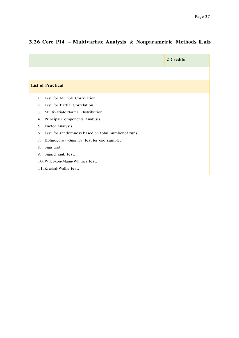### **3.26 Core P14 – Multivariate Analysis & Nonparametric Methods Lab**

|                                                          | 2 Credits |
|----------------------------------------------------------|-----------|
|                                                          |           |
| <b>List of Practical</b>                                 |           |
| Test for Multiple Correlation.<br>1.                     |           |
| Test for Partial Correlation.<br>2.                      |           |
| Multivariate Normal Distribution.<br>$\mathcal{E}$       |           |
| Principal Components Analysis.<br>4.                     |           |
| Factor Analysis.<br>5.                                   |           |
| Test for randomness based on total number of runs.<br>6. |           |
| Kolmogorov - Smirnov test for one sample.<br>7.          |           |
| Sign test.<br>8.                                         |           |
| Signed rank test.<br>9.                                  |           |
| 10. Wilcoxon-Mann-Whitney test.                          |           |
| 11. Kruskal-Wallis test.                                 |           |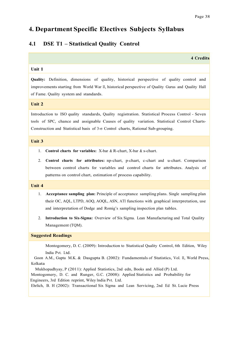### **4. Department Specific Electives Subjects Syllabus**

#### **4.1 DSE T1 – Statistical Quality Control**

| 4 Credits |  |
|-----------|--|
|           |  |

#### **Unit 1**

**Quality:** Definition, dimensions of quality, historical perspective of quality control and improvements starting from World War II, historical perspective of Quality Gurus and Quality Hall of Fame. Quality system and standards.

#### **Unit 2**

Introduction to ISO quality standards, Quality registration. Statistical Process Control - Seven tools of SPC, chance and assignable Causes of quality variation. Statistical Control Charts-Construction and Statistical basis of 3-σ Control charts, Rational Sub-grouping.

#### **Unit 3**

- 1. **Control charts for variables:** X-bar & R-chart, X-bar & s-chart.
- 2. **Control charts for attributes:** np-chart, p-chart, c-chart and u-chart. Comparison between control charts for variables and control charts for attributes. Analysis of patterns on control chart, estimation of process capability.

#### **Unit 4**

- 1. **Acceptance sampling plan:** Principle of acceptance sampling plans. Single sampling plan their OC, AQL, LTPD, AOQ, AOQL, ASN, ATI functions with graphical interpretation, use and interpretation of Dodge and Romig's sampling inspection plan tables.
- 2. **Introduction to Six-Sigma:** Overview of Six Sigma. Lean Manufacturing and Total Quality Management (TQM).

#### **Suggested Readings**

 Montogomery, D. C. (2009): Introduction to Statistical Quality Control, 6th Edition, Wiley India Pvt. Ltd.

 Goon A.M., Gupta M.K. & Dasgupta B. (2002): Fundamentals of Statistics, Vol. II, World Press, Kolkata

Mukhopadhyay, P (2011): Applied Statistics, 2nd edn, Books and Allied (P) Ltd.

 Montogomery, D. C. and Runger, G.C. (2008): Applied Statistics and Probability for Engineers, 3rd Edition reprint, Wiley India Pvt. Ltd.

Ehrlich, B. H (2002): Transactional Six Sigma and Lean Servicing, 2nd Ed St. Lucie Press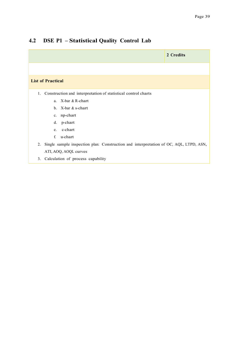### **4.2 DSE P1 – Statistical Quality Control Lab**

| 2 Credits                                                                                   |
|---------------------------------------------------------------------------------------------|
|                                                                                             |
| <b>List of Practical</b>                                                                    |
| Construction and interpretation of statistical control charts<br>1.                         |
| a. X-bar & R-chart                                                                          |
| b. $X$ -bar & s-chart                                                                       |
| c. np-chart                                                                                 |
| d. p-chart                                                                                  |
| c-chart<br>e.                                                                               |
| $f_{\cdot}$<br>u-chart                                                                      |
| 2.<br>Single sample inspection plan: Construction and interpretation of OC, AQL, LTPD, ASN, |
| ATI, AOQ, AOQL curves                                                                       |
| Calculation of process capability<br>3.                                                     |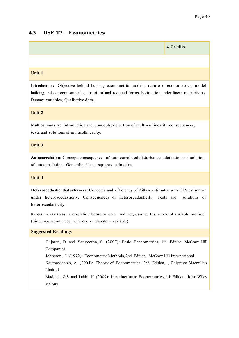#### **4.3 DSE T2 – Econometrics**

# **4 Credits Unit 1**

**Introduction:** Objective behind building econometric models, nature of econometrics, model building, role of econometrics, structural and reduced forms. Estimation under linear restrictions. Dummy variables, Qualitative data.

#### **Unit 2**

**Multicollinearity:** Introduction and concepts, detection of multi-collinearity, consequences, tests and solutions of multicollinearity.

#### **Unit 3**

**Autocorrelation:** Concept, consequences of auto correlated disturbances, detection and solution of autocorrelation. Generalized least squares estimation.

#### **Unit 4**

**Heteroscedastic disturbances:** Concepts and efficiency of Aitken estimator with OLS estimator under heteroscedasticity. Consequences of heteroscedasticity. Tests and solutions of heteroscedasticity.

**Errors in variables:** Correlation between error and regressors. Instrumental variable method (Single-equation model with one explanatory variable)

#### **Suggested Readings**

 Gujarati, D. and Sangeetha, S. (2007): Basic Econometrics, 4th Edition McGraw Hill Companies

Johnston, J. (1972): Econometric Methods, 2nd Edition, McGraw Hill International.

 Koutsoyiannis, A. (2004): Theory of Econometrics, 2nd Edition, , Palgrave Macmillan Limited

 Maddala, G.S. and Lahiri, K. (2009): Introduction to Econometrics, 4th Edition, John Wiley & Sons.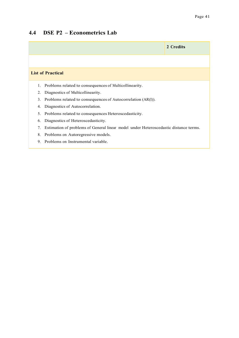### **4.4 DSE P2 – Econometrics Lab**

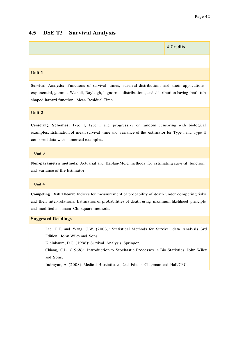#### **4.5 DSE T3 – Survival Analysis**



**Survival Analysis:** Functions of survival times, survival distributions and their applicationsexponential, gamma, Weibull, Rayleigh, lognormal distributions, and distribution having bath-tub shaped hazard function. Mean Residual Time.

#### **Unit 2**

**Censoring Schemes:** Type I, Type II and progressive or random censoring with biological examples. Estimation of mean survival time and variance of the estimator for Type <sup>I</sup> and Type II censored data with numerical examples.

#### Unit 3

**Non-parametric methods:** Actuarial and Kaplan-Meier methods for estimating survival function and variance of the Estimator.

#### Unit 4

**Competing Risk Theory:** Indices for measurement of probability of death under competing risks and their inter-relations. Estimation of probabilities of death using maximum likelihood principle and modified minimum Chi-square methods.

#### **Suggested Readings**

 Lee, E.T. and Wang, J.W. (2003): Statistical Methods for Survival data Analysis, 3rd Edition, John Wiley and Sons.

Kleinbaum, D.G. (1996): Survival Analysis, Springer.

Chiang, C.L. (1968): Introduction to Stochastic Processes in Bio Statistics, John Wiley and Sons.

Indrayan, A. (2008): Medical Biostatistics, 2nd Edition Chapman and Hall/CRC.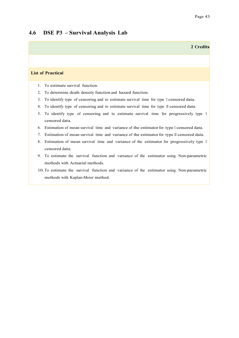**2 Credits**

#### **4.6 DSE P3 – Survival Analysis Lab**

#### **List of Practical**

- 1. To estimate survival function.
- 2. To determine death density function and hazard function.
- 3. To identify type of censoring and to estimate survival time for type I censored data.
- 4. To identify type of censoring and to estimate survival time for type II censored data.
- 5. To identify type of censoring and to estimate survival time for progressively type I censored data.
- 6. Estimation of mean survival time and variance of the estimator for type I censored data.
- 7. Estimation of mean survival time and variance of the estimator for type II censored data.
- 8. Estimation of mean survival time and variance of the estimator for progressively type I censored data.
- 9. To estimate the survival function and variance of the estimator using Non-parametric methods with Actuarial methods.
- 10.To estimate the survival function and variance of the estimator using Non-parametric methods with Kaplan-Meier method.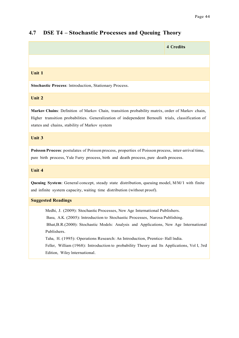#### **4.7 DSE T4 – Stochastic Processes and Queuing Theory**

**4 Credits Unit 1 Stochastic Process**: Introduction, Stationary Process. **Unit 2 Markov Chains**: Definition of Markov Chain, transition probability matrix, order of Markov chain, Higher transition probabilities. Generalization of independent Bernoulli trials, classification of states and chains, stability of Markov system **Unit 3 Poisson Process**: postulates of Poisson process, properties of Poisson process, inter-arrival time, pure birth process, Yule Furry process, birth and death process, pure death process. **Unit 4 Queuing System**: General concept, steady state distribution, queuing model, M/M/1 with finite and infinite system capacity, waiting time distribution (without proof). **Suggested Readings** Medhi, J. (2009): Stochastic Processes, New Age International Publishers. Basu, A.K. (2005): Introduction to Stochastic Processes, Narosa Publishing. Bhat,B.R.(2000): Stochastic Models: Analysis and Applications, New Age International Publishers.

Taha, H. (1995): Operations Research: An Introduction, Prentice- Hall India.

 Feller, William (1968): Introduction to probability Theory and Its Applications, Vol I, 3rd Edition, Wiley International.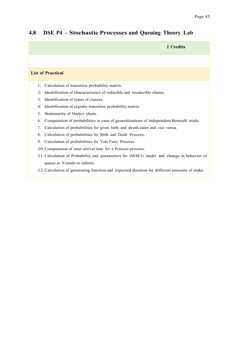# **2 Credits List of Practical** 1. Calculation of transition probability matrix. 2. Identification of characteristics of reducible and irreducible chains. 3. Identification of types of classes. 4. Identification of ergodic transition probability matrix 5. Stationarity of Markov chain. 6. Computation of probabilities in case of generalizations of independent Bernoulli trials. 7. Calculation of probabilities for given birth and death rates and vice versa. 8. Calculation of probabilities for Birth and Death Process. 9. Calculation of probabilities for Yule Furry Process. 10.Computation of inter-arrival time for a Poisson process. 11.Calculation of Probability and parameters for (M/M/1) model and change in behavior of queue as N tends to infinity. 12.Calculation of generating function and expected duration for different amounts of stake.

#### **4.8 DSE P4 – Stochastic Processes and Queuing Theory Lab**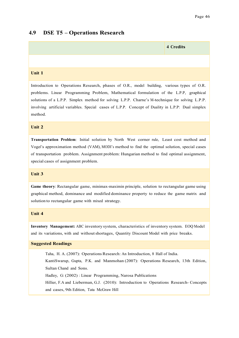#### **4.9 DSE T5 – Operations Research**



Introduction to Operations Research, phases of O.R., model building, various types of O.R. problems. Linear Programming Problem, Mathematical formulation of the L.P.P, graphical solutions of a L.P.P. Simplex method for solving L.P.P. Charne's M-technique for solving L.P.P. involving artificial variables. Special cases of L.P.P. Concept of Duality in L.P.P: Dual simplex method.

#### **Unit 2**

**Transportation Problem**: Initial solution by North West corner rule, Least cost method and Vogel's approximation method (VAM), MODI's method to find the optimal solution, special cases of transportation problem. Assignment problem: Hungarian method to find optimal assignment, special cases of assignment problem.

#### **Unit 3**

**Game theory**: Rectangular game, minimax-maximin principle, solution to rectangular game using graphical method, dominance and modified dominance property to reduce the game matrix and solution to rectangular game with mixed strategy.

#### **Unit 4**

**Inventory Management:** ABC inventory system, characteristics of inventory system. EOQ Model and its variations, with and withoutshortages, Quantity Discount Model with price breaks.

#### **Suggested Readings**

 Taha, H. A. (2007): Operations Research: An Introduction, 8 Hall of India. KantiSwarup, Gupta, P.K. and Manmohan (2007): Operations Research, 13th Edition, Sultan Chand and Sons. Hadley, G: (2002) : Linear Programming, Narosa Publications Hillier, F.A and Lieberman, G.J. (2010): Introduction to Operations Research- Concepts and cases, 9th Edition, Tata McGraw Hill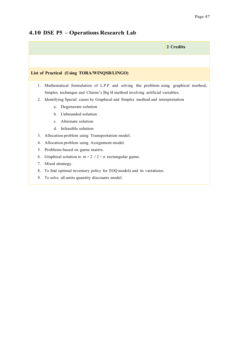#### **4.10 DSE P5 – Operations Research Lab**

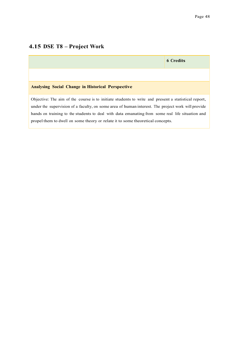### **4.15 DSE T8 – Project Work**

|                                                                                                                                                                                                                                                                                                                                                                                               | <b>6 Credits</b> |
|-----------------------------------------------------------------------------------------------------------------------------------------------------------------------------------------------------------------------------------------------------------------------------------------------------------------------------------------------------------------------------------------------|------------------|
|                                                                                                                                                                                                                                                                                                                                                                                               |                  |
| <b>Analysing Social Change in Historical Perspective</b>                                                                                                                                                                                                                                                                                                                                      |                  |
| Objective: The aim of the course is to initiate students to write and present a statistical report,<br>under the supervision of a faculty, on some area of human interest. The project work will provide<br>hands on training to the students to deal with data emanating from some real life situation and<br>propel them to dwell on some theory or relate it to some theoretical concepts. |                  |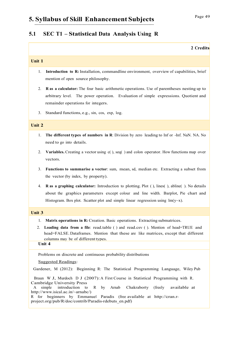#### **5.1 SEC T1 – Statistical Data Analysis Using R**

#### **Unit 1**

- 1. **Introduction to R:** Installation, commandline environment, overview of capabilities, brief mention of open source philosophy.
- 2. **R as a calculator:** The four basic arithmetic operations. Use of parentheses nesting up to arbitrary level. The power operation. Evaluation of simple expressions. Quotient and remainder operations for integers.
- 3. Standard functions, e.g., sin, cos, exp, log.

#### **Unit 2**

- 1. **The different types of numbers in R**: Division by zero leading to Inf or -Inf. NaN. NA. No need to go into details.
- 2. **Variables.** Creating a vector using c( ), seq( ) and colon operator. How functions map over vectors.
- 3. **Functions to summarise a vector**: sum, mean, sd, median etc. Extracting a subset from the vector (by index, by property).
- 4. **R as a graphing calculator:** Introduction to plotting. Plot ( ), lines( ), abline( ). No details about the graphics parameters except colour and line width. Barplot, Pie chart and Histogram. Box plot. Scatter plot and simple linear regression using  $lm(y \sim x)$ .

#### **Unit 3**

- 1. **Matrix operations in R:** Creation. Basic operations. Extracting submatrices.
- 2. **Loading data from a file**: read.table ( ) and read.csv ( ). Mention of head=TRUE and head=FALSE. Dataframes. Mention that these are like matrices, except that different columns may be of different types.

#### **Unit 4**

Problems on discrete and continuous probability distributions

#### Suggested Readings:

Gardener, M (2012): Beginning R: The Statistical Programming Language, Wiley Pub

 Braun W J, Murdoch D J (2007): A First Course in Statistical Programming with R. Cambridge University Press<br>A simple introduction to

 A simple introduction to R by Arnab Chakraborty (freely available at http://www.isical.ac.in/~arnabc/)

R for beginners by Emmanuel Paradis (free available at http://cran.rproject.org/pub/R/doc/contrib/Paradis-rdebuts\_en.pdf)

**2 Credits**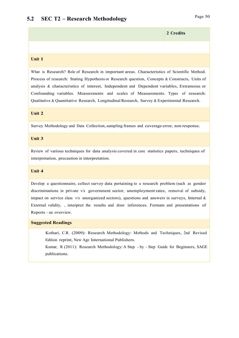#### **Unit 1**

What is Research? Role of Research in important areas. Characteristics of Scientific Method. Process of research: Stating Hypothesis or Research question, Concepts & Constructs, Units of analysis & characteristics of interest, Independent and Dependent variables, Extraneous or Confounding variables. Measurements and scales of Measurements. Types of research: Qualitative & Quantitative Research, Longitudinal Research, Survey & Experimental Research.

#### **Unit 2**

Survey Methodology and Data Collection,sampling frames and coverage error, non-response.

#### **Unit 3**

Review of various techniques for data analysis covered in core statistics papers, techniques of interpretation, precaution in interpretation.

#### **Unit 4**

Develop a questionnaire, collect survey data pertaining to a research problem (such as gender discriminations in private v/s government sector, unemployment rates, removal of subsidy, impact on service class  $v/s$  unorganized sectors), questions and answers in surveys, Internal  $\&$ External validity, , interpret the results and draw inferences. Formats and presentations of Reports – an overview.

#### **Suggested Readings**

 Kothari, C.R. (2009): Research Methodology: Methods and Techniques, 2nd Revised Edition reprint, New Age International Publishers.

 Kumar, R (2011): Research Methodology: A Step - by - Step Guide for Beginners, SAGE publications.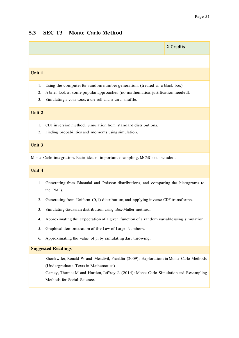#### **5.3 SEC T3 – Monte Carlo Method**

# **2 Credits Unit 1** 1. Using the computer for random number generation. (treated as a black box) 2. A brief look at some popular approaches (no mathematical justification needed). 3. Simulating a coin toss, a die roll and a card shuffle. **Unit 2** 1. CDF inversion method. Simulation from standard distributions. 2. Finding probabilities and moments using simulation. **Unit 3** Monte Carlo integration. Basic idea of importance sampling. MCMC not included. **Unit 4** 1. Generating from Binomial and Poisson distributions, and comparing the histograms to the PMFs. 2. Generating from Uniform (0,1) distribution, and applying inverse CDF transforms. 3. Simulating Gaussian distribution using Box-Muller method. 4. Approximating the expectation of a given function of a random variable using simulation.

- 5. Graphical demonstration of the Law of Large Numbers.
- 6. Approximating the value of pi by simulating dart throwing.

#### **Suggested Readings**

 Shonkwiler, Ronald W. and Mendivil, Franklin (2009): Explorationsin Monte Carlo Methods (Undergraduate Texts in Mathematics)

 Carsey, Thomas M. and Harden,Jeffrey J. (2014): Monte Carlo Simulation and Resampling Methods for Social Science.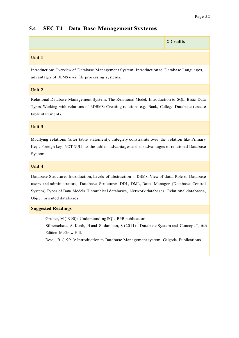#### **5.4 SEC T4 – Data Base Management Systems**

| 2 Credits |
|-----------|
|           |
|           |

#### **Unit 1**

Introduction: Overview of Database Management System, Introduction to Database Languages, advantages of DBMS over file processing systems.

#### **Unit 2**

Relational Database Management System: The Relational Model, Introduction to SQL: Basic Data Types, Working with relations of RDBMS: Creating relations e.g. Bank, College Database (create table statement).

#### **Unit 3**

Modifying relations (alter table statement), Integrity constraints over the relation like Primary Key , Foreign key, NOT NULL to the tables, advantages and disadvantages of relational Database System.

#### **Unit 4**

Database Structure: Introduction, Levels of abstraction in DBMS, View of data, Role of Database users and administrators, Database Structure: DDL, DML, Data Manager (Database Control System).Types of Data Models Hierarchical databases, Network databases, Relational databases, Object oriented databases.

#### **Suggested Readings**

Gruber, M (1990): Understanding SQL, BPB publication.

 Silberschatz, A, Korth, H and Sudarshan, S (2011) "Database System and Concepts", 6th Edition McGraw-Hill.

Desai, B. (1991): Introduction to Database Managementsystem, Galgotia Publications.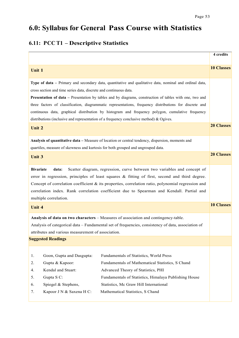# **6.0: Syllabus for General Pass Course with Statistics**

### **6.11: PCC T1 – Descriptive Statistics**

|                                                                                                                                                                                                                                                                                                                                                                                                                                    | 4 credits         |
|------------------------------------------------------------------------------------------------------------------------------------------------------------------------------------------------------------------------------------------------------------------------------------------------------------------------------------------------------------------------------------------------------------------------------------|-------------------|
| Unit 1                                                                                                                                                                                                                                                                                                                                                                                                                             | <b>10 Classes</b> |
| Type of data – Primary and secondary data, quantitative and qualitative data, nominal and ordinal data,<br>cross section and time series data, discrete and continuous data.                                                                                                                                                                                                                                                       |                   |
| Presentation of data – Presentation by tables and by diagrams, construction of tables with one, two and                                                                                                                                                                                                                                                                                                                            |                   |
| three factors of classification, diagrammatic representations, frequency distributions for discrete and                                                                                                                                                                                                                                                                                                                            |                   |
| continuous data, graphical distribution by histogram and frequency polygon, cumulative frequency                                                                                                                                                                                                                                                                                                                                   |                   |
| distributions (inclusive and representation of a frequency conclusive method) & Ogives.                                                                                                                                                                                                                                                                                                                                            |                   |
| Unit 2                                                                                                                                                                                                                                                                                                                                                                                                                             | <b>20 Classes</b> |
| Analysis of quantitative data – Measure of location or central tendency, dispersion, moments and<br>quartiles, measure of skewness and kurtosis for both grouped and ungrouped data.                                                                                                                                                                                                                                               |                   |
| <b>Unit 3</b>                                                                                                                                                                                                                                                                                                                                                                                                                      | <b>20 Classes</b> |
| <b>Bivariate</b><br>Scatter diagram, regression, curve between two variables and concept of<br>data:<br>error in regression, principles of least squares & fitting of first, second and third degree.<br>Concept of correlation coefficient $\&$ its properties, correlation ratio, polynomial regression and<br>correlation index. Rank correlation coefficient due to Spearman and Kendall. Partial and<br>multiple correlation. |                   |
| Unit 4                                                                                                                                                                                                                                                                                                                                                                                                                             | <b>10 Classes</b> |
| Analysis of data on two characters – Measures of association and contingency-table.                                                                                                                                                                                                                                                                                                                                                |                   |
| Analysis of categorical data - Fundamental set of frequencies, consistency of data, association of                                                                                                                                                                                                                                                                                                                                 |                   |
| attributes and various measurement of association.                                                                                                                                                                                                                                                                                                                                                                                 |                   |
| <b>Suggested Readings</b>                                                                                                                                                                                                                                                                                                                                                                                                          |                   |
|                                                                                                                                                                                                                                                                                                                                                                                                                                    |                   |
| Goon, Gupta and Dasgupta:<br>Fundamentals of Statistics, World Press<br>1.                                                                                                                                                                                                                                                                                                                                                         |                   |
| Gupta & Kapoor:<br>Fundamentals of Mathematical Statistics, S Chand<br>2.                                                                                                                                                                                                                                                                                                                                                          |                   |
| Kendal and Stuart:<br>Advanced Theory of Statistics, PHI<br>4.                                                                                                                                                                                                                                                                                                                                                                     |                   |
| Gupta S C:<br>Fundamentals of Statistics, Himalaya Publishing House<br>5.                                                                                                                                                                                                                                                                                                                                                          |                   |
| Spiegel & Stephens,<br>Statistics, Mc Graw Hill International<br>6.                                                                                                                                                                                                                                                                                                                                                                |                   |
| 7.<br>Kapoor J N & Saxena H C:<br>Mathematical Statistics, S Chand                                                                                                                                                                                                                                                                                                                                                                 |                   |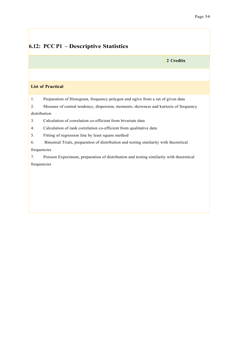### **6.12: PCC P1 – Descriptive Statistics**

**2 Credits**

#### **List of Practical**

1. Preparation of Histogram, frequency polygon and ogive from a set of given data

2. Measure of central tendency, dispersion, moments, skewness and kurtosis of frequency distribution

3. Calculation of correlation co-efficient from bivariate data

4. Calculation of rank correlation co-efficient from qualitative data

5. Fitting of regression line by least square method

6. Binomial Trials, preparation of distribution and testing similarity with theoretical frequencies

7. Poisson Experiment, preparation of distribution and testing similarity with theoretical frequencies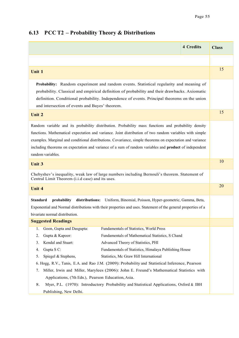### **6.13 PCC T2 – Probability Theory & Distributions**

|                                                                                                                                                                                                                                                                                                                                                                                                                                                                                                                                                                                                                                                                                                                                         | <b>4 Credits</b> | <b>Class</b> |
|-----------------------------------------------------------------------------------------------------------------------------------------------------------------------------------------------------------------------------------------------------------------------------------------------------------------------------------------------------------------------------------------------------------------------------------------------------------------------------------------------------------------------------------------------------------------------------------------------------------------------------------------------------------------------------------------------------------------------------------------|------------------|--------------|
|                                                                                                                                                                                                                                                                                                                                                                                                                                                                                                                                                                                                                                                                                                                                         |                  |              |
| Unit 1                                                                                                                                                                                                                                                                                                                                                                                                                                                                                                                                                                                                                                                                                                                                  |                  | 15           |
| Probability: Random experiment and random events. Statistical regularity and meaning of<br>probability. Classical and empirical definition of probability and their drawbacks. Axiomatic<br>definition. Conditional probability. Independence of events. Principal theorems on the union<br>and intersection of events and Bayes' theorem.                                                                                                                                                                                                                                                                                                                                                                                              |                  |              |
| Unit 2                                                                                                                                                                                                                                                                                                                                                                                                                                                                                                                                                                                                                                                                                                                                  |                  | 15           |
| Random variable and its probability distribution. Probability mass functions and probability density<br>functions. Mathematical expectation and variance. Joint distribution of two random variables with simple<br>examples. Marginal and conditional distributions. Covariance, simple theorems on expectation and variance<br>including theorems on expectation and variance of a sum of random variables and <b>product</b> of independent<br>random variables.                                                                                                                                                                                                                                                                     |                  |              |
| Unit 3                                                                                                                                                                                                                                                                                                                                                                                                                                                                                                                                                                                                                                                                                                                                  |                  | 10           |
| Chebyshev's inequality, weak law of large numbers including Bernouli's theorem. Statement of<br>Central Limit Theorem (i.i.d case) and its uses.                                                                                                                                                                                                                                                                                                                                                                                                                                                                                                                                                                                        |                  |              |
| <b>Unit 4</b>                                                                                                                                                                                                                                                                                                                                                                                                                                                                                                                                                                                                                                                                                                                           |                  | 20           |
| <b>Standard</b><br>distributions: Uniform, Binomial, Poisson, Hyper-geometric, Gamma, Beta,<br>probability<br>Exponential and Normal distributions with their properties and uses. Statement of the general properties of a<br>bivariate normal distribution.                                                                                                                                                                                                                                                                                                                                                                                                                                                                           |                  |              |
| <b>Suggested Readings</b>                                                                                                                                                                                                                                                                                                                                                                                                                                                                                                                                                                                                                                                                                                               |                  |              |
| Fundamentals of Statistics, World Press<br>Goon, Gupta and Dasgupta:<br>1.<br>Fundamentals of Mathematical Statistics, S Chand<br>Gupta & Kapoor:<br>2.<br>Kendal and Stuart:<br>Advanced Theory of Statistics, PHI<br>3.<br>Gupta S C:<br>Fundamentals of Statistics, Himalaya Publishing House<br>4.<br>Statistics, Mc Graw Hill International<br>Spiegel & Stephens,<br>5.<br>6. Hogg, R.V., Tanis, E.A. and Rao J.M. (2009): Probability and Statistical Inference, Pearson<br>Miller, Irwin and Miller, Marylees (2006): John E. Freund's Mathematical Statistics with<br>7.<br>Applications, (7th Edn.), Pearson Education, Asia.<br>Myer, P.L. (1970): Introductory Probability and Statistical Applications, Oxford & IBH<br>8. |                  |              |
| Publishing, New Delhi.                                                                                                                                                                                                                                                                                                                                                                                                                                                                                                                                                                                                                                                                                                                  |                  |              |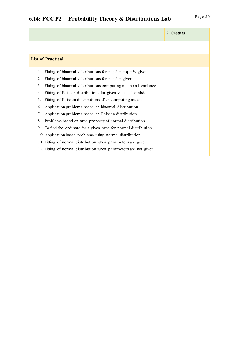# Page <sup>56</sup> **6.14: PCC P2 – Probability Theory & Distributions Lab**

|    |                                                                         | 2 Credits |
|----|-------------------------------------------------------------------------|-----------|
|    |                                                                         |           |
|    | <b>List of Practical</b>                                                |           |
| 1. | Fitting of binomial distributions for n and $p = q = \frac{1}{2}$ given |           |
| 2. | Fitting of binomial distributions for n and p given                     |           |
| 3. | Fitting of binomial distributions computing mean and variance           |           |
| 4. | Fitting of Poisson distributions for given value of lambda              |           |
| 5. | Fitting of Poisson distributions after computing mean                   |           |
| 6. | Application problems based on binomial distribution                     |           |
| 7. | Application problems based on Poisson distribution                      |           |
| 8. | Problems based on area property of normal distribution                  |           |
| 9. | To find the ordinate for a given area for normal distribution           |           |
|    | 10. Application based problems using normal distribution                |           |
|    | 11. Fitting of normal distribution when parameters are given            |           |
|    | 12. Fitting of normal distribution when parameters are not given        |           |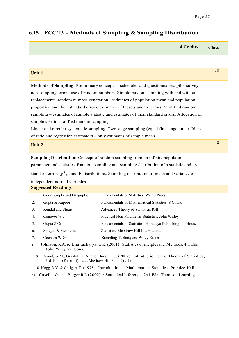### **4 Credits Class Unit 1** <sup>30</sup> **Methods of Sampling:** Preliminary concepts – schedules and questionnaires, pilot survey, non-sampling errors, use of random numbers. Simple random sampling with and without replacements, random number generation– estimates of population mean and population proportion and their standard errors, estimates of these standard errors. Stratified random sampling – estimates of sample statistic and estimates of their standard errors. Allocation of sample size in stratified random sampling. Linear and circular systematic sampling. Two stage sampling (equal first stage units). Ideas of ratio and regression estimators – only estimates of sample mean. **Unit 2** 30 **Sampling Distribution:** Concept of random sampling from an infinite population, parameter and statistics. Random sampling and sampling distribution of a statistic and its standard error.  $\chi^2$ , t and F distributions. Sampling distribution of mean and variance of independent normal variables. **Suggested Readings** 1. Goon, Gupta and Dasgupta: Fundamentals of Statistics, World Press 2. Gupta & Kapoor: Fundamentals of Mathematical Statistics, S Chand 3. Kendal and Stuart: Advanced Theory of Statistics, PHI 4. Conover W J: Practical Non-Parametric Statistics, John Willey 5. Gupta S C: Fundamentals of Statistics, Himalaya Publishing House 6. Spiegel & Stephens, Statistics, Mc Graw Hill International 7. Cocharn W G: Sampling Techniques, Wiley Eastern 8. Johnson, R.A. & Bhattacharya, G.K. (2001): Statistics-Principles and Methods, 4th Edn. John Wiley and Sons. 9. Mood, A.M., Graybill, F.A. and Boes, D.C. (2007): Introduction to the Theory of Statistics, 3rd Edn. (Reprint).Tata McGraw-Hill Pub. Co. Ltd. 10. Hogg R.V. & Craig A.T. (1978): Introduction to Mathematical Statistics, Prentice Hall. .. 11. . **Casella**, G. and Berger R.L (2002). : Statistical Inference, 2nd Edn. Thomson Learning

#### **6.15 PCC T3 - Methods of Sampling & Sampling Distribution**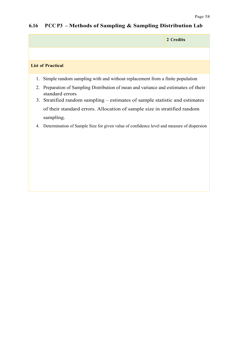### **6.16 PCC P3 – Methods of Sampling & Sampling Distribution Lab**

|                                                                                                           | 2 Credits |
|-----------------------------------------------------------------------------------------------------------|-----------|
|                                                                                                           |           |
| <b>List of Practical</b>                                                                                  |           |
| Simple random sampling with and without replacement from a finite population<br>1.                        |           |
| Preparation of Sampling Distribution of mean and variance and estimates of their<br>2.<br>standard errors |           |
| 3. Stratified random sampling – estimates of sample statistic and estimates                               |           |
| of their standard errors. Allocation of sample size in stratified random                                  |           |
| sampling.                                                                                                 |           |
| Determination of Sample Size for given value of confidence level and measure of dispersion<br>4.          |           |
|                                                                                                           |           |
|                                                                                                           |           |
|                                                                                                           |           |
|                                                                                                           |           |
|                                                                                                           |           |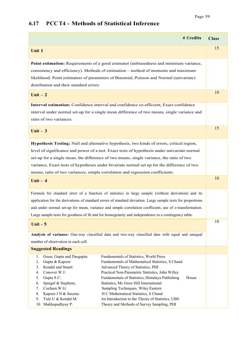### **4 Credits Class Unit 1** 15 **Point estimation:** Requirements of a good estimator (unbiasedness and minimum variance, consistency and efficiency). Methods of estimation – method of moments and maximum likelihood. Point estimators of parameters of Binomial, Poisson and Normal (univariate) distribution and their standard errors. **Unit – 2** 10 **Interval estimation:** Confidence interval and confidence co-efficient, Exact confidence interval under normal set-up for a single mean difference of two means, single variance and ratio of two variances. **Unit – 3** <sup>15</sup> **Hypothesis Testing:** Null and alternative hypothesis, two kinds of errors, critical region, level of significance and power of a test. Exact tests of hypothesis under univariate normal set-up for a single mean, the difference of two means, single variance, the ratio of two variance, Exact tests of hypotheses under bivariate normal set up for the difference of two means, ratio of two variances, simple correlation and regression coefficients. **Unit – 4** <sup>10</sup> Formula for standard error of a function of statistics in large sample (without derivation) and its application for the derivations of standard errors of standard deviation. Large sample tests for proportions and under normal set-up for mean, variance and simple correlation coefficient, use of z-transformation. Large sample tests for goodness of fit and for homogeneity and independence in a contingency table. **Unit - 5 Analysis of variance:** One-way classified data and two-way classified data with equal and unequal number of observation in each cell. 10 **Suggested Readings** 1. Goon, Gupta and Dasgupta: Fundamentals of Statistics, World Press 2. Gupta & Kapoor: Fundamentals of Mathematical Statistics, S Chand 3. Kendal and Stuart: Advanced Theory of Statistics, PHI 4. Conover W J: Practical Non-Parametric Statistics, John Willey 5. Gupta S C: Fundamentals of Statistics, Himalaya Publishing House 6. Spiegel & Stephens, Statistics, Mc Graw Hill International 7. Cocharn W G: Sampling Techniques, Wiley Eastern 8. Kapoor J N & Saxena: H C Mathematical Statistics, S Chand 9. Yule U & Kendal M: An Introduction to the Theory of Statistics, UBS 10. Mukhopadhyay P: Theory and Methods of Survey Sampling, PHI

#### **6.17 PCC T4 - Methods of Statistical Inference**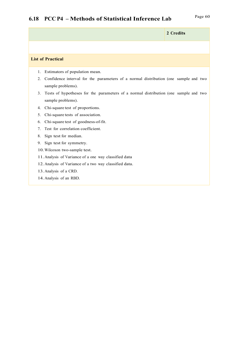# Page <sup>60</sup> **6.18 PCC P4 – Methods of Statistical Inference Lab**

|                                                                                                                | 2 Credits |
|----------------------------------------------------------------------------------------------------------------|-----------|
|                                                                                                                |           |
| <b>List of Practical</b>                                                                                       |           |
| Estimators of population mean.<br>1.                                                                           |           |
| Confidence interval for the parameters of a normal distribution (one sample and two<br>2.<br>sample problems). |           |
| Tests of hypotheses for the parameters of a normal distribution (one sample and two<br>3.<br>sample problems). |           |
| Chi-square test of proportions.<br>4.                                                                          |           |
| Chi-square tests of association.<br>5.                                                                         |           |
| Chi-square test of goodness-of-fit.<br>6.                                                                      |           |
| Test for correlation coefficient.<br>$7_{\scriptscriptstyle{\circ}}$                                           |           |
| Sign test for median.<br>8.                                                                                    |           |
| Sign test for symmetry.<br>9.                                                                                  |           |
| 10. Wilcoxon two-sample test.                                                                                  |           |
| 11. Analysis of Variance of a one way classified data                                                          |           |
| 12. Analysis of Variance of a two way classified data.                                                         |           |
| 13. Analysis of a CRD.                                                                                         |           |
| 14. Analysis of an RBD.                                                                                        |           |
|                                                                                                                |           |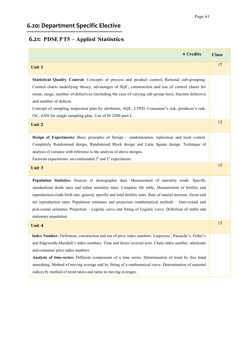# **6.20: Department Specific Elective**

### **6.21: PDSE P T5 – Applied Statistics**

|                                                                                                                                                                                                                                                                                                                                                                                                                                                                                                                                                                           | <b>4 Credits</b> | <b>Class</b> |
|---------------------------------------------------------------------------------------------------------------------------------------------------------------------------------------------------------------------------------------------------------------------------------------------------------------------------------------------------------------------------------------------------------------------------------------------------------------------------------------------------------------------------------------------------------------------------|------------------|--------------|
| Unit 1                                                                                                                                                                                                                                                                                                                                                                                                                                                                                                                                                                    |                  | 15           |
| Statistical Quality Control: Concepts of process and product control, Rational sub-grouping.<br>Control charts underlying theory, advantages of SQC, construction and use of control charts for<br>mean, range, number of defectives (including the case of varying sub-group size), fraction defective<br>and number of defects.<br>Concept of sampling inspection plan by attributes, AQL, LTPD, Consumer's risk, producer's risk,<br>OC, ASN for single sampling plan. Use of IS 2500 part-I.                                                                          |                  |              |
| Unit 2                                                                                                                                                                                                                                                                                                                                                                                                                                                                                                                                                                    |                  | 15           |
| Design of Experiments: Basic principles of Design - randomization, replication and local control.<br>Completely Randomised design, Randomised Block design and Latin Square design. Technique of<br>analysis of variance with reference to the analysis of above designs.<br>Factorial experiments: un-confounded $2^2$ and $2^3$ experiments.                                                                                                                                                                                                                            |                  |              |
| <b>Unit 3</b>                                                                                                                                                                                                                                                                                                                                                                                                                                                                                                                                                             |                  | 15           |
| Population Statistics: Sources of demographic data. Measurement of mortality crude. Specific<br>standardized death rates and infant mortality rates. Complete life table. Measurement of fertility and<br>reproduction-crude birth rate, general, specific and total fertility rates. Rate of natural increase. Gross and<br>net reproduction rates. Population estimates and projection (mathematical method) – Inter-censal and<br>post-censal estimates. Projection - Logistic curve and fitting of Logistic curve. Definition of stable and<br>stationary population. |                  |              |
| <b>Unit 4</b>                                                                                                                                                                                                                                                                                                                                                                                                                                                                                                                                                             |                  | 15           |
| Index Number: Definition, construction and use of price index numbers. Laspeyres', Passache's, Fisher's<br>and Edgeworth-Marshall's index numbers. Time and factor reversal tests. Chain index number, wholesale<br>and consumer price index numbers.<br>Analysis of time-series: Different components of a time series. Determination of trend by free hand<br>smoothing. Method of moving average and by fitting of a mathematical curve. Determination of seasonal<br>indices by method of trend ratios and ratios to moving averages.                                 |                  |              |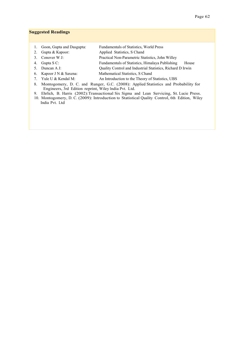#### **Suggested Readings**

- 1. Goon, Gupta and Dasgupta: Fundamentals of Statistics, World Press
- 2. Gupta & Kapoor: Applied Statistics, S Chand
- 3. Conover W J: Practical Non-Parametric Statistics, John Willey
- 4. Gupta S C: Fundamentals of Statistics, Himalaya Publishing House
- 5. Duncan A J: Quality Control and Industrial Statistics, Richard D Irwin
	- 6. Kapoor J N & Saxena: Mathematical Statistics, S Chand
	- 7. Yule U & Kendal M: An Introduction to the Theory of Statistics, UBS
	- 8. Montogomery, D. C. and Runger, G.C. (2008): Applied Statistics and Probability for Engineers, 3rd Edition reprint, Wiley India Pvt. Ltd.
	- 9. Ehrlich, B. Harris (2002):Transactional Six Sigma and Lean Servicing, St. Lucie Press.
	- 10. Montogomery, D. C. (2009): Introduction to Statistical Quality Control, 6th Edition, Wiley India Pvt. Ltd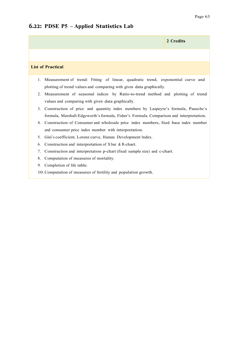### **6.22: PDSE P5 – Applied Statistics Lab**

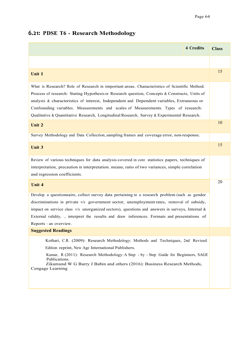### **6.21: PDSE T6 - Research Methodology**

|                                                                                                                                                                                                                                                                                                                                                                                                                                                                                  | <b>4 Credits</b> | <b>Class</b> |
|----------------------------------------------------------------------------------------------------------------------------------------------------------------------------------------------------------------------------------------------------------------------------------------------------------------------------------------------------------------------------------------------------------------------------------------------------------------------------------|------------------|--------------|
|                                                                                                                                                                                                                                                                                                                                                                                                                                                                                  |                  |              |
| Unit 1                                                                                                                                                                                                                                                                                                                                                                                                                                                                           |                  | 15           |
| What is Research? Role of Research in important areas. Characteristics of Scientific Method.<br>Process of research: Stating Hypothesis or Research question, Concepts & Constructs, Units of<br>analysis & characteristics of interest, Independent and Dependent variables, Extraneous or<br>Confounding variables. Measurements and scales of Measurements. Types of research:<br>Qualitative & Quantitative Research, Longitudinal Research, Survey & Experimental Research. |                  |              |
| Unit 2                                                                                                                                                                                                                                                                                                                                                                                                                                                                           |                  | 10           |
| Survey Methodology and Data Collection, sampling frames and coverage error, non-response.                                                                                                                                                                                                                                                                                                                                                                                        |                  |              |
| <b>Unit 3</b>                                                                                                                                                                                                                                                                                                                                                                                                                                                                    |                  | 15           |
| Review of various techniques for data analysis covered in core statistics papers, techniques of<br>interpretation, precaution in interpretation. means, ratio of two variances, simple correlation<br>and regression coefficients.                                                                                                                                                                                                                                               |                  |              |
| Unit 4                                                                                                                                                                                                                                                                                                                                                                                                                                                                           |                  | 20           |
| Develop a questionnaire, collect survey data pertaining to a research problem (such as gender<br>discriminations in private v/s government sector, unemployment rates, removal of subsidy,<br>impact on service class v/s unorganized sectors), questions and answers in surveys, Internal &<br>External validity, , interpret the results and draw inferences. Formats and presentations of<br>Reports – an overview.                                                           |                  |              |
| <b>Suggested Readings</b>                                                                                                                                                                                                                                                                                                                                                                                                                                                        |                  |              |
| Kothari, C.R. (2009): Research Methodology: Methods and Techniques, 2nd Revised<br>Edition reprint, New Age International Publishers.<br>Kumar, R (2011): Research Methodology: A Step - by - Step Guide for Beginners, SAGE<br>Publications.<br>Zikamund W G Barry J Babin and others (2016): Business Research Methods,<br>Cengage Learning                                                                                                                                    |                  |              |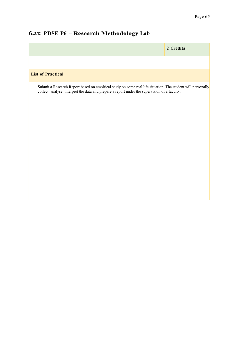| <b>6.21: PDSE P6 - Research Methodology Lab</b>                                                                                                                                                             |           |  |
|-------------------------------------------------------------------------------------------------------------------------------------------------------------------------------------------------------------|-----------|--|
|                                                                                                                                                                                                             | 2 Credits |  |
|                                                                                                                                                                                                             |           |  |
| <b>List of Practical</b>                                                                                                                                                                                    |           |  |
| Submit a Research Report based on empirical study on some real life situation. The student will personally<br>collect, analyse, interpret the data and prepare a report under the supervision of a faculty. |           |  |
|                                                                                                                                                                                                             |           |  |
|                                                                                                                                                                                                             |           |  |
|                                                                                                                                                                                                             |           |  |
|                                                                                                                                                                                                             |           |  |
|                                                                                                                                                                                                             |           |  |
|                                                                                                                                                                                                             |           |  |
|                                                                                                                                                                                                             |           |  |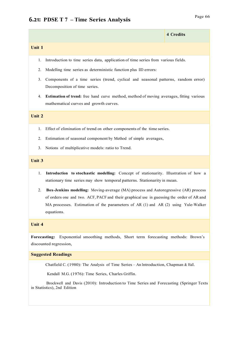|        | $\tau$ creates |
|--------|----------------|
| Unit 1 |                |

- 1. Introduction to time series data, application of time series from various fields.
- 2. Modelling time series as deterministic function plus IID errors:
- 3. Components of a time series (trend, cyclical and seasonal patterns, random error) Decomposition of time series.
- 4. **Estimation of trend:** free hand curve method, method of moving averages, fitting various mathematical curves and growth curves.

#### **Unit 2**

- 1. Effect of elimination of trend on other components of the time series.
- 2. Estimation of seasonal component by Method of simple averages,
- 3. Notions of multiplicative models: ratio to Trend.

#### **Unit 3**

- 1. **Introduction to stochastic modelling:** Concept of stationarity. Illustration of how a stationary time series may show temporal patterns. Stationarity in mean.
- 2. **Box-Jenkins modelling:** Moving-average (MA) process and Autoregressive (AR) process of orders one and two. ACF, PACF and their graphical use in guessing the order of AR and MA processes. Estimation of the parameters of AR  $(1)$  and AR  $(2)$  using Yule-Walker equations.

#### **Unit 4**

**Forecasting:** Exponential smoothing methods, Short term forecasting methods: Brown's discounted regression,

#### **Suggested Readings**

Chatfield C. (1980): The Analysis of Time Series – An Introduction, Chapman & Hall.

Kendall M.G. (1976): Time Series, Charles Griffin.

 Brockwell and Davis (2010): Introduction to Time Series and Forecasting (Springer Texts in Statistics), 2nd Edition

**4 Credits**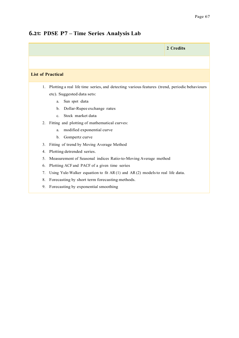#### **6.21: PDSE P7 – Time Series Analysis Lab**

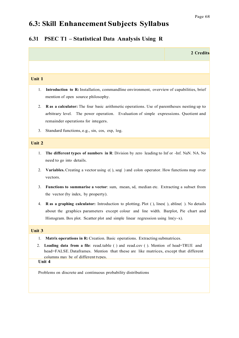# **6.3: Skill Enhancement Subjects Syllabus**

### **6.31 PSEC T1 – Statistical Data Analysis Using R**

|               |                                                                                                                                                                                                                                                                                               | 2 Credits |
|---------------|-----------------------------------------------------------------------------------------------------------------------------------------------------------------------------------------------------------------------------------------------------------------------------------------------|-----------|
|               |                                                                                                                                                                                                                                                                                               |           |
| Unit 1        |                                                                                                                                                                                                                                                                                               |           |
| 1.            | Introduction to R: Installation, commandline environment, overview of capabilities, brief<br>mention of open source philosophy.                                                                                                                                                               |           |
| 2.            | <b>R</b> as a calculator: The four basic arithmetic operations. Use of parentheses nesting up to<br>arbitrary level. The power operation. Evaluation of simple expressions. Quotient and<br>remainder operations for integers.                                                                |           |
| 3.            | Standard functions, e.g., sin, cos, exp, log.                                                                                                                                                                                                                                                 |           |
| Unit 2        |                                                                                                                                                                                                                                                                                               |           |
| 1.            | The different types of numbers in R: Division by zero leading to Inf or -Inf. NaN. NA. No<br>need to go into details.                                                                                                                                                                         |           |
| 2.            | Variables. Creating a vector using c(), seq() and colon operator. How functions map over<br>vectors.                                                                                                                                                                                          |           |
| 3.            | Functions to summarise a vector: sum, mean, sd, median etc. Extracting a subset from<br>the vector (by index, by property).                                                                                                                                                                   |           |
| 4.            | <b>R</b> as a graphing calculator: Introduction to plotting. Plot (), lines(), abline(). No details<br>about the graphics parameters except colour and line width. Barplot, Pie chart and<br>Histogram. Box plot. Scatter plot and simple linear regression using $lm(y \sim x)$ .            |           |
| <b>Unit 3</b> |                                                                                                                                                                                                                                                                                               |           |
| 1.<br>2.      | Matrix operations in R: Creation. Basic operations. Extracting submatrices.<br>Loading data from a file: read.table () and read.csv (). Mention of head=TRUE and<br>head=FALSE. Dataframes. Mention that these are like matrices, except that different<br>columns may be of different types. |           |
|               | Unit 4                                                                                                                                                                                                                                                                                        |           |
|               | Problems on discrete and continuous probability distributions                                                                                                                                                                                                                                 |           |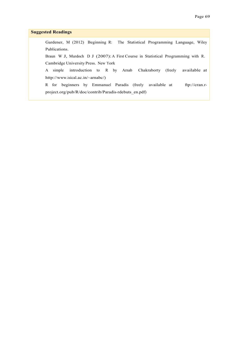### **Suggested Readings**

 Gardener, M (2012) Beginning R: The Statistical Programming Language, Wiley Publications.

 Braun W J, Murdoch D J (2007): A First Course in Statistical Programming with R. Cambridge University Press. New York

A simple introduction to R by Arnab Chakraborty (freely available at http://www.isical.ac.in/~arnabc/)

R for beginners by Emmanuel Paradis (freely available at ftp://cran.rproject.org/pub/R/doc/contrib/Paradis-rdebuts\_en.pdf)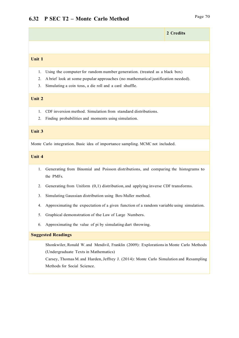## **2 Credits**

#### **Unit 1**

- 1. Using the computer for random number generation. (treated as a black box)
- 2. A brief look at some popular approaches (no mathematical justification needed).
- 3. Simulating a coin toss, a die roll and a card shuffle.

### **Unit 2**

- 1. CDF inversion method. Simulation from standard distributions.
- 2. Finding probabilities and moments using simulation.

### **Unit 3**

Monte Carlo integration. Basic idea of importance sampling. MCMC not included.

### **Unit 4**

- 1. Generating from Binomial and Poisson distributions, and comparing the histograms to the PMFs.
- 2. Generating from Uniform (0,1) distribution, and applying inverse CDF transforms.
- 3. Simulating Gaussian distribution using Box-Muller method.
- 4. Approximating the expectation of a given function of a random variable using simulation.
- 5. Graphical demonstration of the Law of Large Numbers.
- 6. Approximating the value of pi by simulating dart throwing.

## **Suggested Readings**

 Shonkwiler, Ronald W. and Mendivil, Franklin (2009): Explorationsin Monte Carlo Methods (Undergraduate Texts in Mathematics)

 Carsey, Thomas M. and Harden,Jeffrey J. (2014): Monte Carlo Simulation and Resampling Methods for Social Science.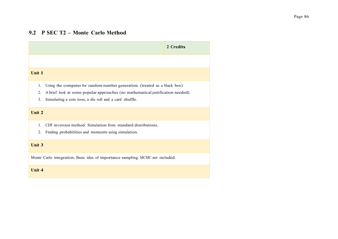## **9.2 P SEC T2 – Monte Carlo Method**

|                                                                                                                                                                                                                                          | 2 Credits |
|------------------------------------------------------------------------------------------------------------------------------------------------------------------------------------------------------------------------------------------|-----------|
|                                                                                                                                                                                                                                          |           |
| Unit 1                                                                                                                                                                                                                                   |           |
| Using the computer for random number generation. (treated as a black box)<br>1.<br>2.<br>A brief look at some popular approaches (no mathematical justification needed).<br>3.<br>Simulating a coin toss, a die roll and a card shuffle. |           |
| Unit 2                                                                                                                                                                                                                                   |           |
| CDF inversion method. Simulation from standard distributions.<br>1.<br>2.<br>Finding probabilities and moments using simulation.                                                                                                         |           |
| <b>Unit 3</b>                                                                                                                                                                                                                            |           |
| Monte Carlo integration. Basic idea of importance sampling. MCMC not included.                                                                                                                                                           |           |
| Unit 4                                                                                                                                                                                                                                   |           |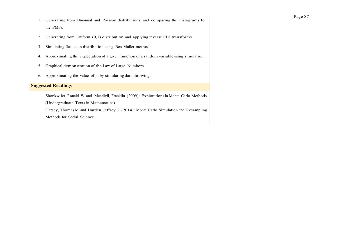- 1. Generating from Binomial and Poisson distributions, and comparing the histograms to the PMFs.
- 2. Generating from Uniform (0,1) distribution, and applying inverse CDF transforms.
- 3. Simulating Gaussian distribution using Box-Muller method.
- 4. Approximating the expectation of a given function of a random variable using simulation.
- 5. Graphical demonstration of the Law of Large Numbers.
- 6. Approximating the value of pi by simulating dart throwing.

### **Suggested Readings**

 Shonkwiler, Ronald W. and Mendivil, Franklin (2009): Explorationsin Monte Carlo Methods (Undergraduate Texts in Mathematics) Carsey, Thomas M. and Harden, Jeffrey J. (2014): Monte Carlo Simulation and Resampling

Methods for Social Science.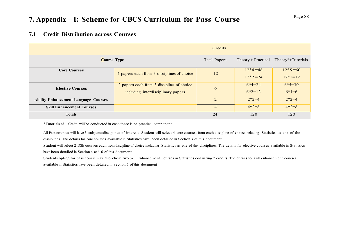# Page <sup>88</sup> **7. Appendix – I: Scheme for CBCS Curriculum for Pass Course**

## **7.1 Credit Distribution across Courses**

|                                             |                                                                                 | <b>Credits</b> |                                      |                        |
|---------------------------------------------|---------------------------------------------------------------------------------|----------------|--------------------------------------|------------------------|
| <b>Course Type</b>                          |                                                                                 | Total Papers   | Theory + Practical Theory*+Tutorials |                        |
| <b>Core Courses</b>                         | 4 papers each from 3 disciplines of choice                                      | 12             | $12*4=48$<br>$12*2=24$               | $12*5=60$<br>$12*1=12$ |
| <b>Elective Courses</b>                     | 2 papers each from 3 discipline of choice<br>including interdisciplinary papers | 6              | $6*4=24$<br>$6*2=12$                 | $6*5=30$<br>$6*1=6$    |
| <b>Ability Enhancement Language Courses</b> |                                                                                 | 2              | $2*2=4$                              | $2*2=4$                |
| <b>Skill Enhancement Courses</b>            |                                                                                 | $\overline{4}$ | $4*2=8$                              | $4*2=8$                |
| <b>Totals</b>                               |                                                                                 | 24             | 120                                  | 120                    |

\*Tutorials of 1 Credit will be conducted in case there is no practical component

All Pass courses will have 3 subjects/disciplines of interest. Student will select 4 core courses from each discipline of choice including Statistics as one of the disciplines. The details for core courses available in Statistics have been detailed in Section 3 of this document

Student will select 2 DSE courses each from discipline of choice including Statistics as one of the disciplines. The details for elective courses available in Statistics have been detailed in Section 4 and 6 of this document

Students opting for pass course may also chose two Skill Enhancement Courses in Statistics consisting 2 credits. The details for skill enhancement courses available in Statistics have been detailed in Section 5 of this document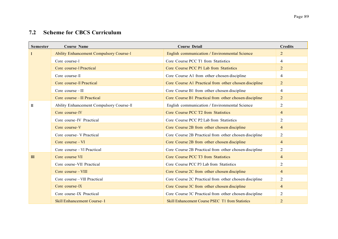## **7.2 Scheme for CBCS Curriculum**

| <b>Semester</b> | <b>Course Name</b>                       | <b>Course Detail</b>                                    | <b>Credits</b> |
|-----------------|------------------------------------------|---------------------------------------------------------|----------------|
|                 | Ability Enhancement Compulsory Course-I  | English communication / Environmental Science           | 2              |
|                 | Core course-I                            | Core Course PCC T1 from Statistics                      | 4              |
|                 | Core course-I Practical                  | Core Course PCC P1 Lab from Statistics                  | 2              |
|                 | Core course-II                           | Core Course A1 from other chosen discipline             | $\overline{4}$ |
|                 | Core course-II Practical                 | Core Course A1 Practical from other chosen discipline   | 2              |
|                 | Core course $-III$                       | Core Course B1 from other chosen discipline             | $\overline{4}$ |
|                 | Core course - III Practical              | Core Course B1 Practical from other chosen discipline   | 2              |
| H               | Ability Enhancement Compulsory Course-II | English communication / Environmental Science           | 2              |
|                 | Core course-IV                           | Core Course PCC T2 from Statistics                      | $\overline{4}$ |
|                 | Core course-IV Practical                 | Core Course PCC P2 Lab from Statistics                  | 2              |
|                 | Core course-V                            | Core Course 2B from other chosen discipline             | $\overline{4}$ |
|                 | Core course - V Practical                | Core Course 2B Practical from other chosen discipline   | 2              |
|                 | Core course - VI                         | Core Course 2B from other chosen discipline             | $\overline{4}$ |
|                 | Core course – VI Practical               | Core Course 2B Practical from other chosen discipline   | $\overline{2}$ |
| III             | Core course VII                          | Core Course PCC T3 from Statistics                      | $\overline{4}$ |
|                 | Core course–VII Practical                | Core Course PCC P3 Lab from Statistics                  | 2              |
|                 | Core course - VIII                       | Core Course 2C from other chosen discipline             | $\overline{4}$ |
|                 | Core course - VIII Practical             | Core Course 2C Practical from other chosen discipline   | $\overline{2}$ |
|                 | Core course-IX                           | Core Course 3C from other chosen discipline             | $\overline{4}$ |
|                 | Core course-IX Practical                 | Core Course 3C Practical from other chosen discipline   | $\overline{2}$ |
|                 | <b>Skill Enhancement Course-1</b>        | <b>Skill Enhancement Course PSEC T1 from Statistics</b> | 2              |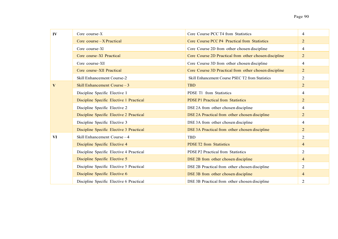| IV        | Core course-X                            | Core Course PCC T4 from Statistics                    | $\overline{4}$ |
|-----------|------------------------------------------|-------------------------------------------------------|----------------|
|           | Core course – X Practical                | Core Course PCC P4 Practical from Statistics          | $\overline{2}$ |
|           | Core course-XI                           | Core Course 2D from other chosen discipline           | 4              |
|           | Core course–XI Practical                 | Core Course 2D Practical from other chosen discipline | $\overline{2}$ |
|           | Core course-XII                          | Core Course 3D from other chosen discipline           | 4              |
|           | Core course–XII Practical                | Core Course 3D Practical from other chosen discipline | $\overline{2}$ |
|           | Skill Enhancement Course-2               | Skill Enhancement Course PSEC T2 from Statistics      | $\overline{2}$ |
| V         | Skill Enhancement Course - 3             | <b>TBD</b>                                            | $\overline{2}$ |
|           | Discipline Specific Elective 1           | PDSE T1 from Statistics                               | 4              |
|           | Discipline Specific Elective 1 Practical | <b>PDSE P1 Practical from Statistics</b>              | $\overline{2}$ |
|           | Discipline Specific Elective 2           | DSE 2A from other chosen discipline                   | 4              |
|           | Discipline Specific Elective 2 Practical | DSE 2A Practical from other chosen discipline         | $\overline{2}$ |
|           | Discipline Specific Elective 3           | DSE 3A from other chosen discipline                   | 4              |
|           | Discipline Specific Elective 3 Practical | DSE 3A Practical from other chosen discipline         | $\overline{2}$ |
| <b>VI</b> | Skill Enhancement Course-4               | TBD                                                   | $\overline{2}$ |
|           | Discipline Specific Elective 4           | <b>PDSE T2</b> from Statistics                        | $\overline{4}$ |
|           | Discipline Specific Elective 4 Practical | PDSE P2 Practical from Statistics                     | $\overline{2}$ |
|           | Discipline Specific Elective 5           | DSE 2B from other chosen discipline                   | 4              |
|           | Discipline Specific Elective 5 Practical | DSE 2B Practical from other chosen discipline         | $\overline{2}$ |
|           | Discipline Specific Elective 6           | DSE 3B from other chosen discipline                   | $\overline{4}$ |
|           | Discipline Specific Elective 6 Practical | DSE 3B Practical from other chosen discipline         | 2              |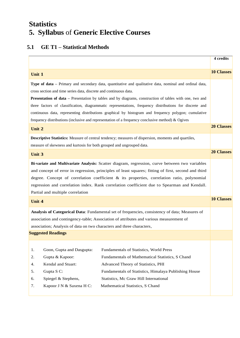# **Statistics 5. Syllabus** of **Generic Elective Courses**

## **5.1 GE T1 – Statistical Methods**

|                                                                                                                                                                                                                                                                                                                                                                                                                                                                                                                                                                                                                       | 4 credits         |
|-----------------------------------------------------------------------------------------------------------------------------------------------------------------------------------------------------------------------------------------------------------------------------------------------------------------------------------------------------------------------------------------------------------------------------------------------------------------------------------------------------------------------------------------------------------------------------------------------------------------------|-------------------|
| Unit 1                                                                                                                                                                                                                                                                                                                                                                                                                                                                                                                                                                                                                | <b>10 Classes</b> |
| Type of data – Primary and secondary data, quantitative and qualitative data, nominal and ordinal data,<br>cross section and time series data, discrete and continuous data.<br><b>Presentation of data</b> – Presentation by tables and by diagrams, construction of tables with one, two and<br>three factors of classification, diagrammatic representations, frequency distributions for discrete and<br>continuous data, representing distributions graphical by histogram and frequency polygon; cumulative<br>frequency distributions (inclusive and representation of a frequency conclusive method) & Ogives |                   |
| Unit 2                                                                                                                                                                                                                                                                                                                                                                                                                                                                                                                                                                                                                | <b>20 Classes</b> |
| <b>Descriptive Statistics:</b> Measure of central tendency; measures of dispersion, moments and quartiles,<br>measure of skewness and kurtosis for both grouped and ungrouped data.                                                                                                                                                                                                                                                                                                                                                                                                                                   |                   |
| Unit 3                                                                                                                                                                                                                                                                                                                                                                                                                                                                                                                                                                                                                | <b>20 Classes</b> |
| Bi-variate and Multivariate Analysis: Scatter diagram, regression, curve between two variables<br>and concept of error in regression, principles of least squares; fitting of first, second and third<br>degree. Concept of correlation coefficient $\&$ its properties, correlation ratio, polynomial<br>regression and correlation index. Rank correlation coefficient due to Spearman and Kendall.<br>Partial and multiple correlation                                                                                                                                                                             |                   |
| Unit 4                                                                                                                                                                                                                                                                                                                                                                                                                                                                                                                                                                                                                | <b>10 Classes</b> |
| Analysis of Categorical Data: Fundamental set of frequencies, consistency of data; Measures of<br>association and contingency-table; Association of attributes and various measurement of<br>association; Analysis of data on two characters and three characters,                                                                                                                                                                                                                                                                                                                                                    |                   |
| <b>Suggested Readings</b>                                                                                                                                                                                                                                                                                                                                                                                                                                                                                                                                                                                             |                   |
| Goon, Gupta and Dasgupta:<br>Fundamentals of Statistics, World Press<br>1.<br>Gupta & Kapoor:<br>Fundamentals of Mathematical Statistics, S Chand<br>2.<br>Kendal and Stuart:<br>Advanced Theory of Statistics, PHI<br>4.<br>Gupta S C:<br>Fundamentals of Statistics, Himalaya Publishing House<br>5.<br>Spiegel & Stephens,<br>Statistics, Mc Graw Hill International<br>6.<br>Kapoor J N & Saxena H C:<br>Mathematical Statistics, S Chand<br>7.                                                                                                                                                                   |                   |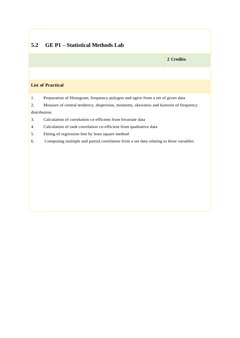## **5.2 GE P1 – Statistical Methods Lab**

**2 Credits**

## **List of Practical**

1. Preparation of Histogram, frequency polygon and ogive from a set of given data

2. Measure of central tendency, dispersion, moments, skewness and kurtosis of frequency

## distribution

- 3. Calculation of correlation co-efficient from bivariate data
- 4. Calculation of rank correlation co-efficient from qualitative data
- 5. Fitting of regression line by least square method
- 6. Computing multiple and partial correlation from a set data relating to three variables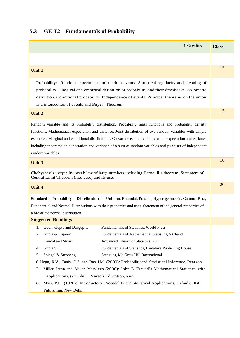## **5.3 GE T2 – Fundamentals of Probability**

| <b>4 Credits</b>                                                                                                                                                                                                                                                                                                                                                                                                                                                                                                                                                                                                                        | <b>Class</b> |
|-----------------------------------------------------------------------------------------------------------------------------------------------------------------------------------------------------------------------------------------------------------------------------------------------------------------------------------------------------------------------------------------------------------------------------------------------------------------------------------------------------------------------------------------------------------------------------------------------------------------------------------------|--------------|
|                                                                                                                                                                                                                                                                                                                                                                                                                                                                                                                                                                                                                                         |              |
| Unit 1                                                                                                                                                                                                                                                                                                                                                                                                                                                                                                                                                                                                                                  | 15           |
| Probability: Random experiment and random events. Statistical regularity and meaning of<br>probability. Classical and empirical definition of probability and their drawbacks. Axiomatic<br>definition. Conditional probability. Independence of events. Principal theorems on the union<br>and intersection of events and Bayes' Theorem.                                                                                                                                                                                                                                                                                              | 15           |
| Unit 2                                                                                                                                                                                                                                                                                                                                                                                                                                                                                                                                                                                                                                  |              |
| Random variable and its probability distribution. Probability mass functions and probability density<br>functions. Mathematical expectation and variance. Joint distribution of two random variables with simple<br>examples. Marginal and conditional distributions. Co-variance, simple theorems on expectation and variance<br>including theorems on expectation and variance of a sum of random variables and <b>product</b> of independent<br>random variables.                                                                                                                                                                    |              |
| <b>Unit 3</b>                                                                                                                                                                                                                                                                                                                                                                                                                                                                                                                                                                                                                           | 10           |
| Chebyshev's inequality, weak law of large numbers including Bernouli's theorem. Statement of<br>Central Limit Theorem (i.i.d case) and its uses.                                                                                                                                                                                                                                                                                                                                                                                                                                                                                        |              |
| Unit 4                                                                                                                                                                                                                                                                                                                                                                                                                                                                                                                                                                                                                                  | 20           |
| <b>Standard</b><br><b>Probability</b><br><b>Distributions:</b><br>Uniform, Binomial, Poisson, Hyper-geometric, Gamma, Beta,<br>Exponential and Normal Distributions with their properties and uses. Statement of the general properties of<br>a bi-variate normal distribution.                                                                                                                                                                                                                                                                                                                                                         |              |
| <b>Suggested Readings</b>                                                                                                                                                                                                                                                                                                                                                                                                                                                                                                                                                                                                               |              |
| Goon, Gupta and Dasgupta:<br>Fundamentals of Statistics, World Press<br>1.<br>Gupta & Kapoor:<br>Fundamentals of Mathematical Statistics, S Chand<br>2.<br>Kendal and Stuart:<br>Advanced Theory of Statistics, PHI<br>3.<br>Gupta S C:<br>Fundamentals of Statistics, Himalaya Publishing House<br>4.<br>Spiegel & Stephens,<br>Statistics, Mc Graw Hill International<br>5.<br>6. Hogg, R.V., Tanis, E.A. and Rao J.M. (2009): Probability and Statistical Inference, Pearson<br>Miller, Irwin and Miller, Marylees (2006): John E. Freund's Mathematical Statistics with<br>7.<br>Applications, (7th Edn.), Pearson Education, Asia. |              |
| Myer, P.L. (1970): Introductory Probability and Statistical Applications, Oxford & IBH<br>8.<br>Publishing, New Delhi.                                                                                                                                                                                                                                                                                                                                                                                                                                                                                                                  |              |